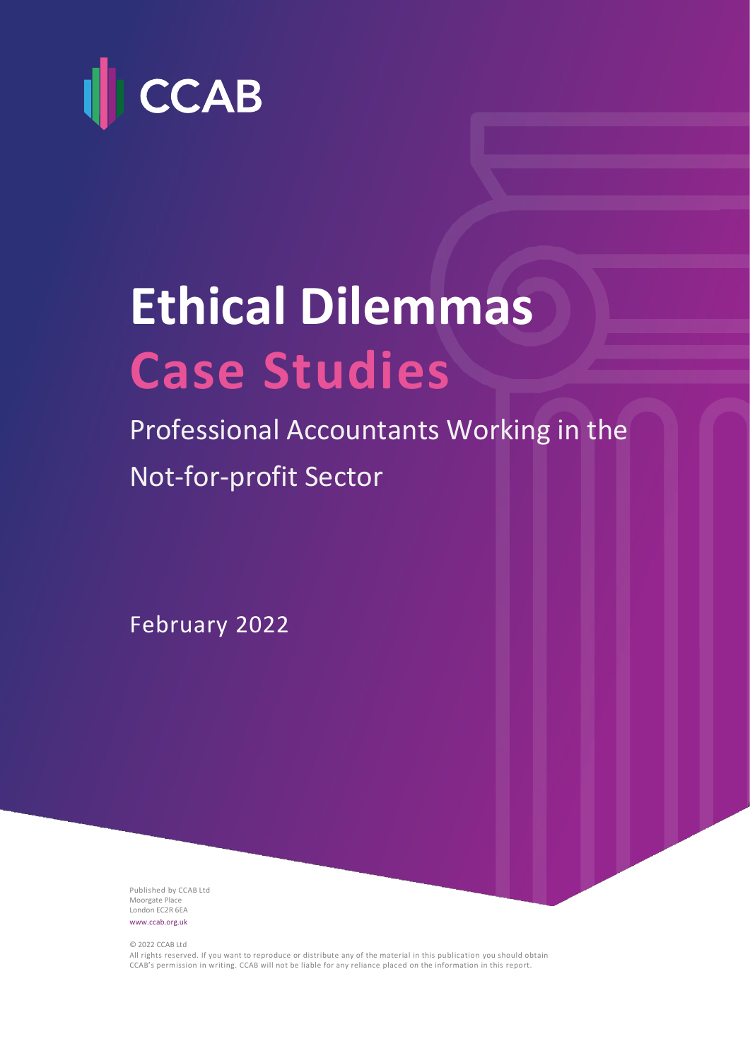

# **Ethical Dilemmas Case Studies**

# Professional Accountants Working in the Not-for-profit Sector

February 2022

Published by CCAB Ltd Moorgate Place London EC2R 6EA [www.ccab.org.uk](http://www.ccab.org.uk/)

© 2022 CCAB Ltd

All rights reserved. If you want to reproduce or distribute any of the material in this publication you should obtain CCAB's permission in writing. CCAB will not be liable for any reliance placed on the information in this report.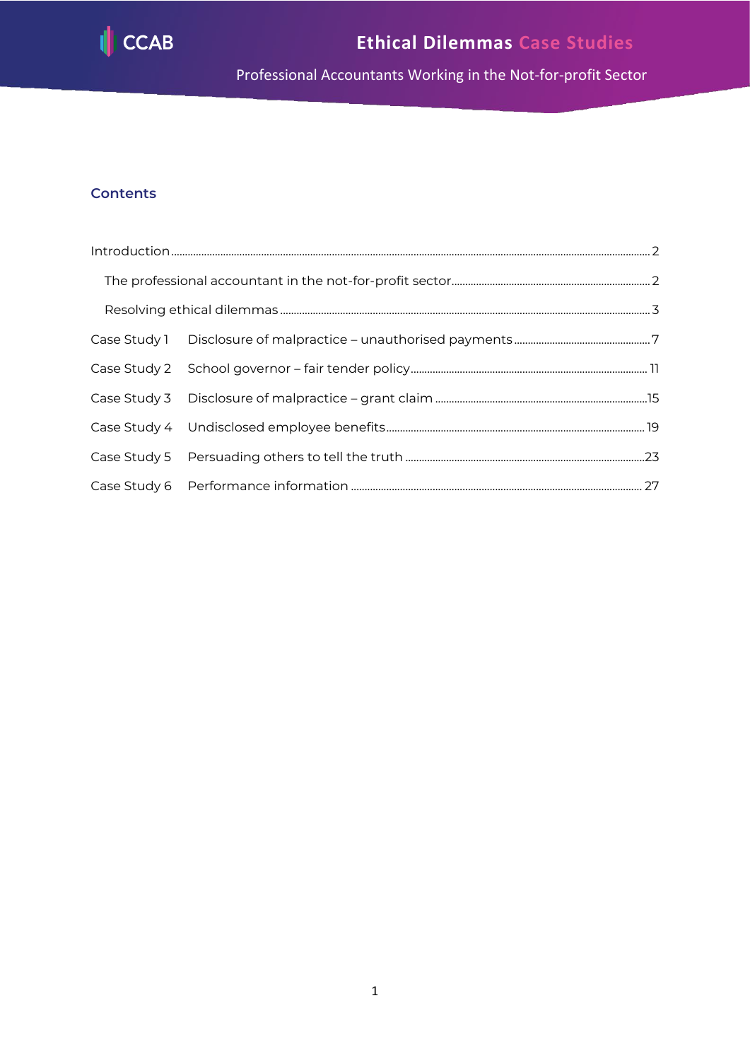

#### **Contents**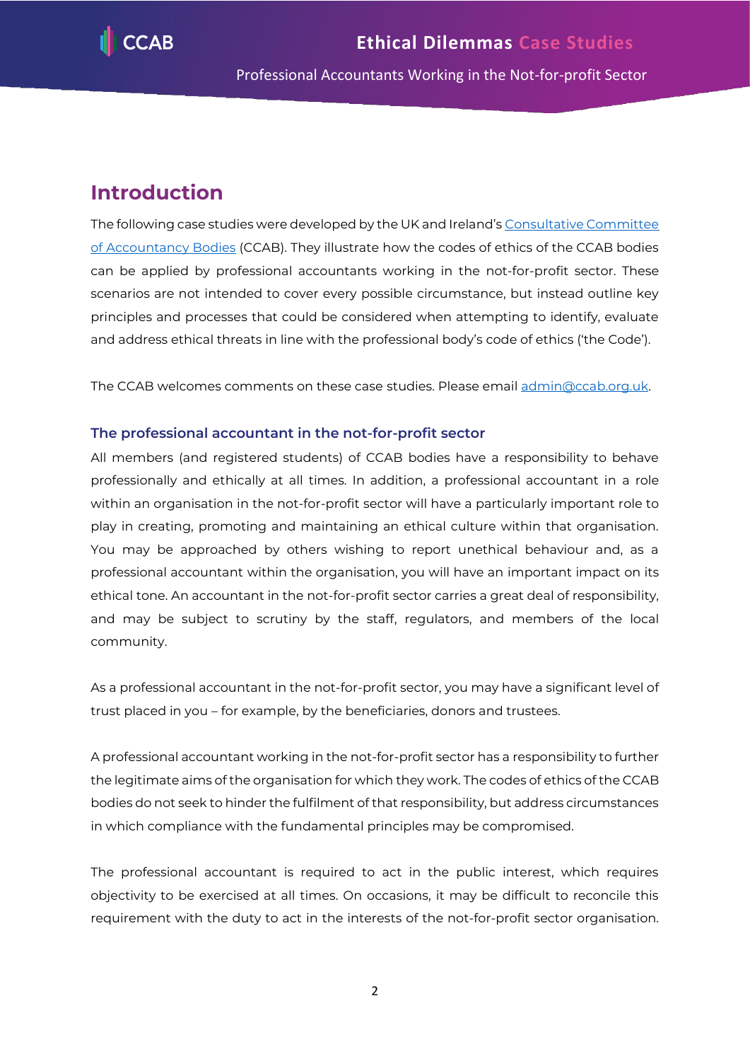

# <span id="page-2-0"></span>**Introduction**

The following case studies were developed by the UK and Ireland's [Consultative Committee](http://www.ccab.org.uk/)  [of Accountancy Bodies](http://www.ccab.org.uk/) (CCAB). They illustrate how the codes of ethics of the CCAB bodies can be applied by professional accountants working in the not-for-profit sector. These scenarios are not intended to cover every possible circumstance, but instead outline key principles and processes that could be considered when attempting to identify, evaluate and address ethical threats in line with the professional body's code of ethics ('the Code').

The CCAB welcomes comments on these case studies. Please email [admin@ccab.org.uk.](mailto:admin@ccab.org.uk)

#### <span id="page-2-1"></span>**The professional accountant in the not-for-profit sector**

All members (and registered students) of CCAB bodies have a responsibility to behave professionally and ethically at all times. In addition, a professional accountant in a role within an organisation in the not-for-profit sector will have a particularly important role to play in creating, promoting and maintaining an ethical culture within that organisation. You may be approached by others wishing to report unethical behaviour and, as a professional accountant within the organisation, you will have an important impact on its ethical tone. An accountant in the not-for-profit sector carries a great deal of responsibility, and may be subject to scrutiny by the staff, regulators, and members of the local community.

As a professional accountant in the not-for-profit sector, you may have a significant level of trust placed in you – for example, by the beneficiaries, donors and trustees.

A professional accountant working in the not-for-profit sector has a responsibility to further the legitimate aims of the organisation for which they work. The codes of ethics of the CCAB bodies do not seek to hinder the fulfilment of that responsibility, but address circumstances in which compliance with the fundamental principles may be compromised.

The professional accountant is required to act in the public interest, which requires objectivity to be exercised at all times. On occasions, it may be difficult to reconcile this requirement with the duty to act in the interests of the not-for-profit sector organisation.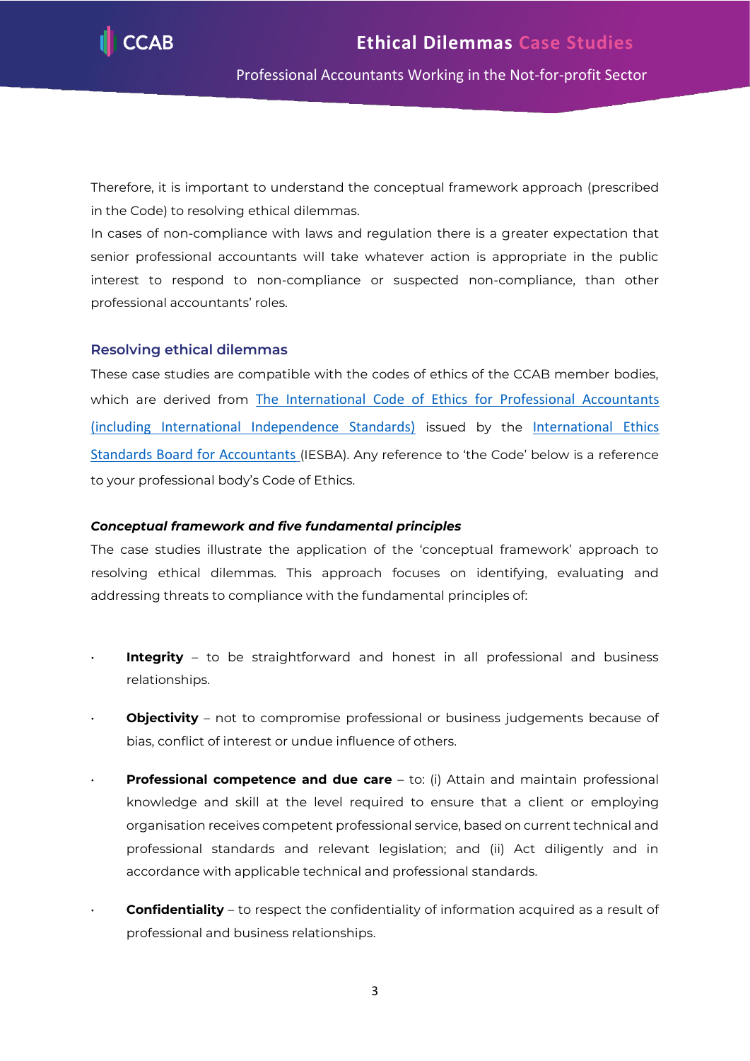

Therefore, it is important to understand the conceptual framework approach (prescribed in the Code) to resolving ethical dilemmas.

In cases of non-compliance with laws and regulation there is a greater expectation that senior professional accountants will take whatever action is appropriate in the public interest to respond to non-compliance or suspected non-compliance, than other professional accountants' roles.

#### <span id="page-3-0"></span>**Resolving ethical dilemmas**

These case studies are compatible with the codes of ethics of the CCAB member bodies, which are derived from [The International Code of Ethics for Professional Accountants](https://www.ethicsboard.org/international-code-ethics-professional-accountants)  [\(including International Independence Standards\)](https://www.ethicsboard.org/international-code-ethics-professional-accountants) issued by the [International Ethics](https://www.ethicsboard.org/)  [Standards Board for Accountants](https://www.ethicsboard.org/) (IESBA). Any reference to 'the Code' below is a reference to your professional body's Code of Ethics.

#### *Conceptual framework and five fundamental principles*

The case studies illustrate the application of the 'conceptual framework' approach to resolving ethical dilemmas. This approach focuses on identifying, evaluating and addressing threats to compliance with the fundamental principles of:

- **Integrity** to be straightforward and honest in all professional and business relationships.
- **Objectivity** not to compromise professional or business judgements because of bias, conflict of interest or undue influence of others.
- **Professional competence and due care** to: (i) Attain and maintain professional knowledge and skill at the level required to ensure that a client or employing organisation receives competent professional service, based on current technical and professional standards and relevant legislation; and (ii) Act diligently and in accordance with applicable technical and professional standards.
- **Confidentiality** to respect the confidentiality of information acquired as a result of professional and business relationships.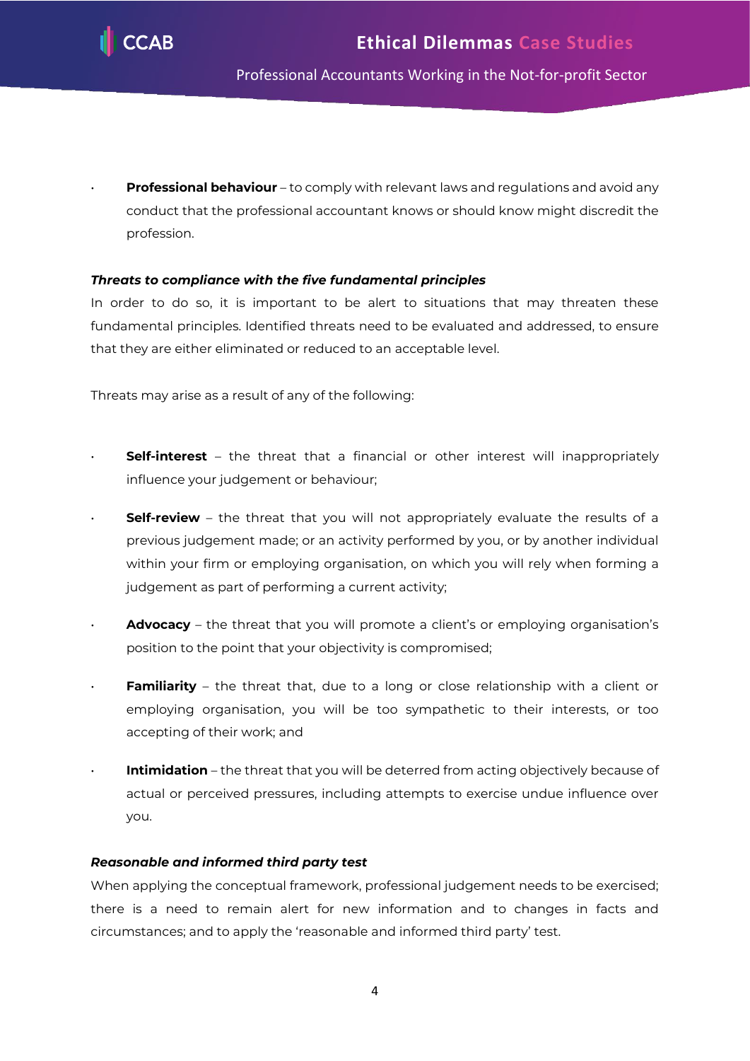

• **Professional behaviour** – to comply with relevant laws and regulations and avoid any conduct that the professional accountant knows or should know might discredit the profession.

#### *Threats to compliance with the five fundamental principles*

In order to do so, it is important to be alert to situations that may threaten these fundamental principles. Identified threats need to be evaluated and addressed, to ensure that they are either eliminated or reduced to an acceptable level.

Threats may arise as a result of any of the following:

- **Self-interest** the threat that a financial or other interest will inappropriately influence your judgement or behaviour;
- **Self-review** the threat that you will not appropriately evaluate the results of a previous judgement made; or an activity performed by you, or by another individual within your firm or employing organisation, on which you will rely when forming a judgement as part of performing a current activity;
- **Advocacy** the threat that you will promote a client's or employing organisation's position to the point that your objectivity is compromised;
- **Familiarity** the threat that, due to a long or close relationship with a client or employing organisation, you will be too sympathetic to their interests, or too accepting of their work; and
- **Intimidation** the threat that you will be deterred from acting objectively because of actual or perceived pressures, including attempts to exercise undue influence over you.

#### *Reasonable and informed third party test*

When applying the conceptual framework, professional judgement needs to be exercised; there is a need to remain alert for new information and to changes in facts and circumstances; and to apply the 'reasonable and informed third party' test.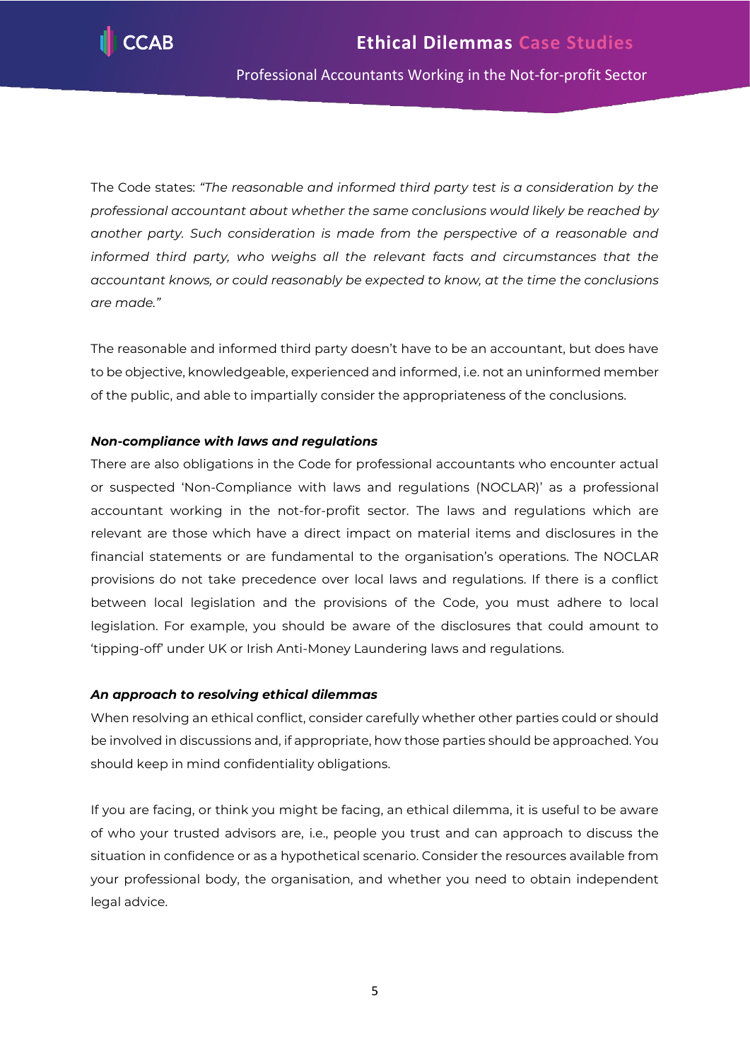The Code states: *"The reasonable and informed third party test is a consideration by the professional accountant about whether the same conclusions would likely be reached by another party. Such consideration is made from the perspective of a reasonable and informed third party, who weighs all the relevant facts and circumstances that the accountant knows, or could reasonably be expected to know, at the time the conclusions are made."*

The reasonable and informed third party doesn't have to be an accountant, but does have to be objective, knowledgeable, experienced and informed, i.e. not an uninformed member of the public, and able to impartially consider the appropriateness of the conclusions.

#### *Non-compliance with laws and regulations*

There are also obligations in the Code for professional accountants who encounter actual or suspected 'Non-Compliance with laws and regulations (NOCLAR)' as a professional accountant working in the not-for-profit sector. The laws and regulations which are relevant are those which have a direct impact on material items and disclosures in the financial statements or are fundamental to the organisation's operations. The NOCLAR provisions do not take precedence over local laws and regulations. If there is a conflict between local legislation and the provisions of the Code, you must adhere to local legislation. For example, you should be aware of the disclosures that could amount to 'tipping-off' under UK or Irish Anti-Money Laundering laws and regulations.

#### *An approach to resolving ethical dilemmas*

When resolving an ethical conflict, consider carefully whether other parties could or should be involved in discussions and, if appropriate, how those parties should be approached. You should keep in mind confidentiality obligations.

If you are facing, or think you might be facing, an ethical dilemma, it is useful to be aware of who your trusted advisors are, i.e., people you trust and can approach to discuss the situation in confidence or as a hypothetical scenario. Consider the resources available from your professional body, the organisation, and whether you need to obtain independent legal advice.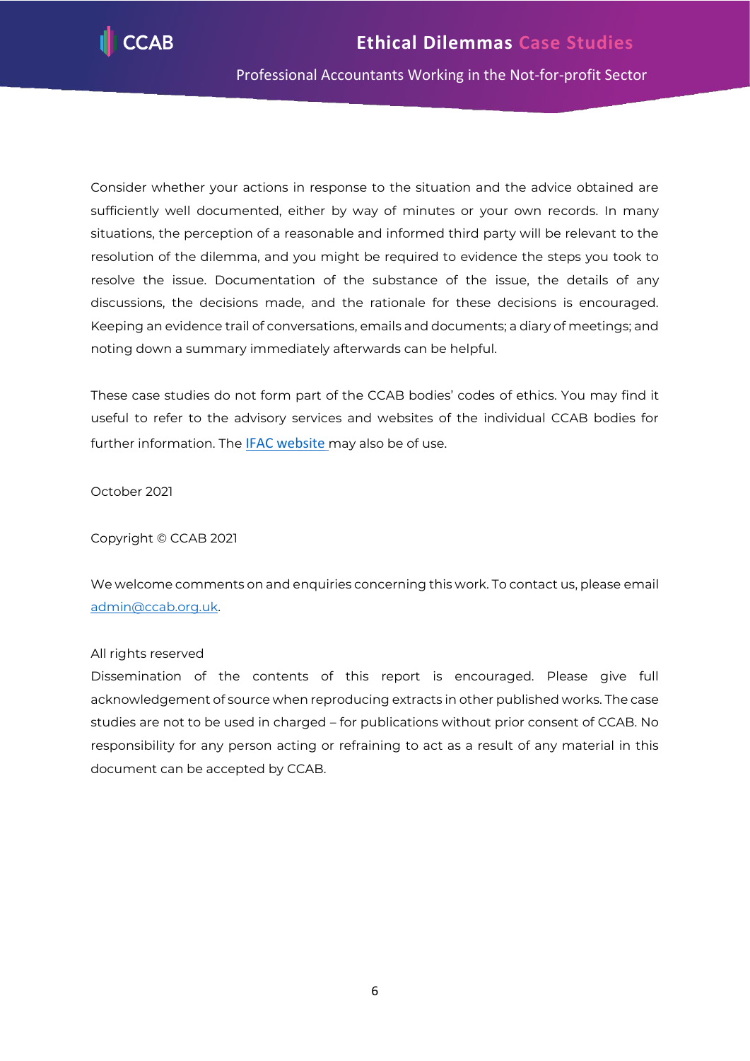

Consider whether your actions in response to the situation and the advice obtained are sufficiently well documented, either by way of minutes or your own records. In many situations, the perception of a reasonable and informed third party will be relevant to the resolution of the dilemma, and you might be required to evidence the steps you took to resolve the issue. Documentation of the substance of the issue, the details of any discussions, the decisions made, and the rationale for these decisions is encouraged. Keeping an evidence trail of conversations, emails and documents; a diary of meetings; and noting down a summary immediately afterwards can be helpful.

These case studies do not form part of the CCAB bodies' codes of ethics. You may find it useful to refer to the advisory services and websites of the individual CCAB bodies for further information. The [IFAC website](https://www.ifac.org/) may also be of use.

October 2021

Copyright © CCAB 2021

We welcome comments on and enquiries concerning this work. To contact us, please email [admin@ccab.org.uk.](mailto:admin@ccab.org.uk)

#### All rights reserved

Dissemination of the contents of this report is encouraged. Please give full acknowledgement of source when reproducing extracts in other published works. The case studies are not to be used in charged – for publications without prior consent of CCAB. No responsibility for any person acting or refraining to act as a result of any material in this document can be accepted by CCAB.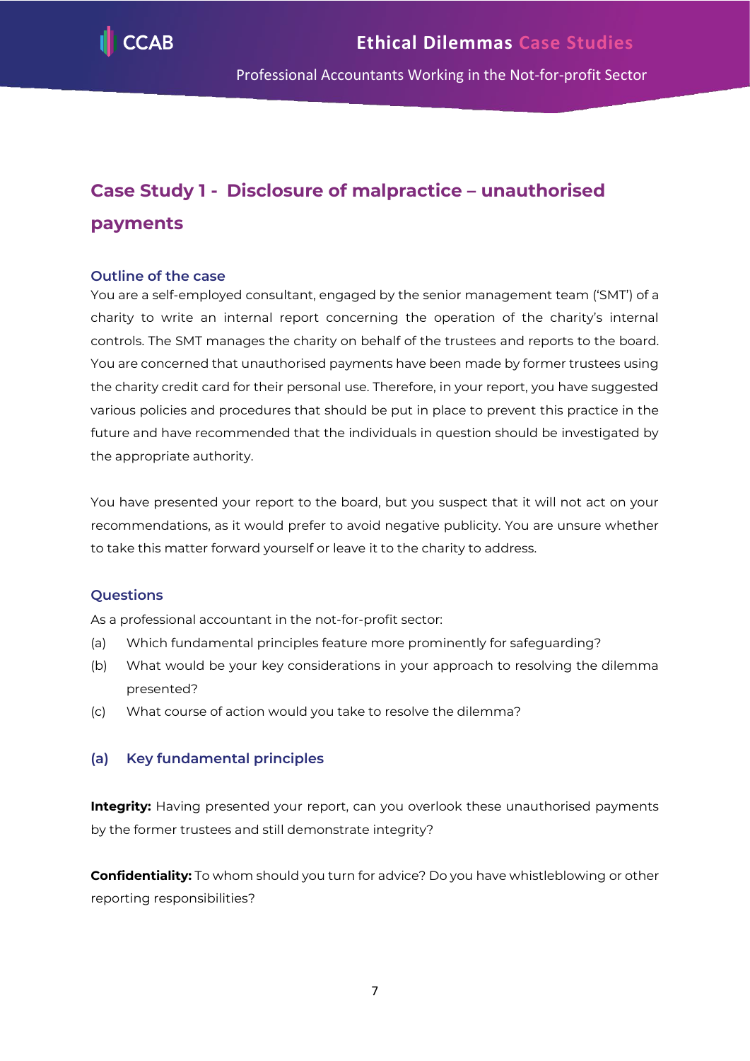

# <span id="page-7-0"></span>**Case Study 1 - Disclosure of malpractice – unauthorised payments**

#### **Outline of the case**

You are a self-employed consultant, engaged by the senior management team ('SMT') of a charity to write an internal report concerning the operation of the charity's internal controls. The SMT manages the charity on behalf of the trustees and reports to the board. You are concerned that unauthorised payments have been made by former trustees using the charity credit card for their personal use. Therefore, in your report, you have suggested various policies and procedures that should be put in place to prevent this practice in the future and have recommended that the individuals in question should be investigated by the appropriate authority.

You have presented your report to the board, but you suspect that it will not act on your recommendations, as it would prefer to avoid negative publicity. You are unsure whether to take this matter forward yourself or leave it to the charity to address.

#### **Questions**

As a professional accountant in the not-for-profit sector:

- (a) Which fundamental principles feature more prominently for safeguarding?
- (b) What would be your key considerations in your approach to resolving the dilemma presented?
- (c) What course of action would you take to resolve the dilemma?

#### **(a) Key fundamental principles**

**Integrity:** Having presented your report, can you overlook these unauthorised payments by the former trustees and still demonstrate integrity?

**Confidentiality:** To whom should you turn for advice? Do you have whistleblowing or other reporting responsibilities?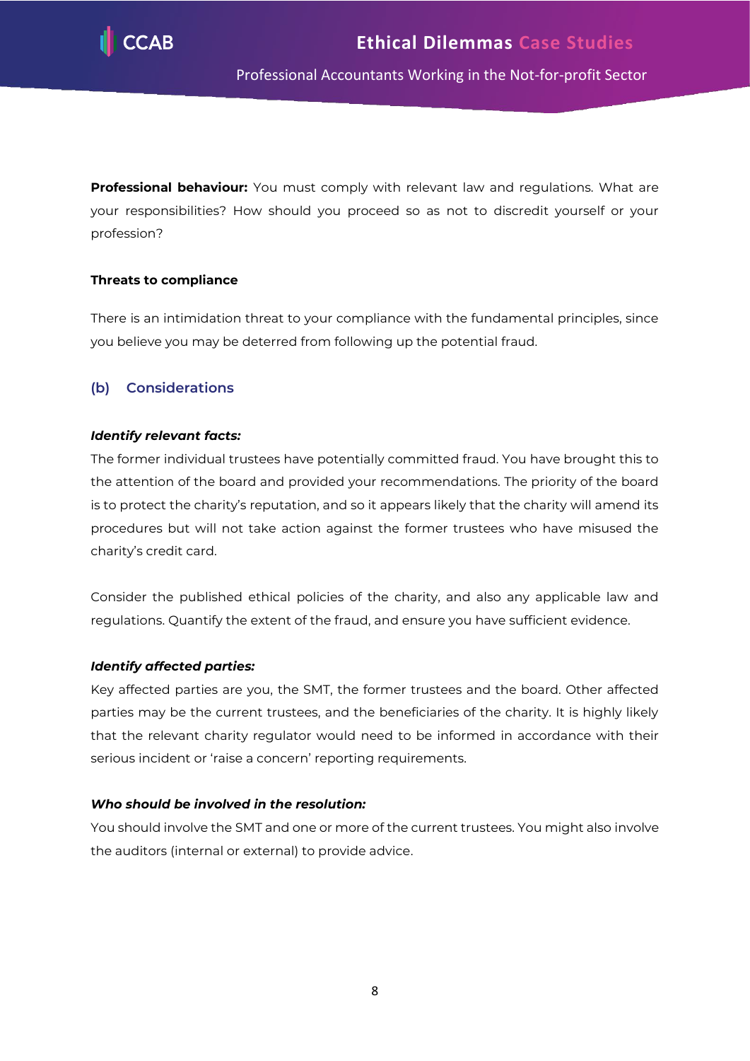

**Professional behaviour:** You must comply with relevant law and regulations. What are your responsibilities? How should you proceed so as not to discredit yourself or your profession?

#### **Threats to compliance**

There is an intimidation threat to your compliance with the fundamental principles, since you believe you may be deterred from following up the potential fraud.

#### **(b) Considerations**

#### *Identify relevant facts:*

The former individual trustees have potentially committed fraud. You have brought this to the attention of the board and provided your recommendations. The priority of the board is to protect the charity's reputation, and so it appears likely that the charity will amend its procedures but will not take action against the former trustees who have misused the charity's credit card.

Consider the published ethical policies of the charity, and also any applicable law and regulations. Quantify the extent of the fraud, and ensure you have sufficient evidence.

#### *Identify affected parties:*

Key affected parties are you, the SMT, the former trustees and the board. Other affected parties may be the current trustees, and the beneficiaries of the charity. It is highly likely that the relevant charity regulator would need to be informed in accordance with their serious incident or 'raise a concern' reporting requirements.

#### *Who should be involved in the resolution:*

You should involve the SMT and one or more of the current trustees. You might also involve the auditors (internal or external) to provide advice.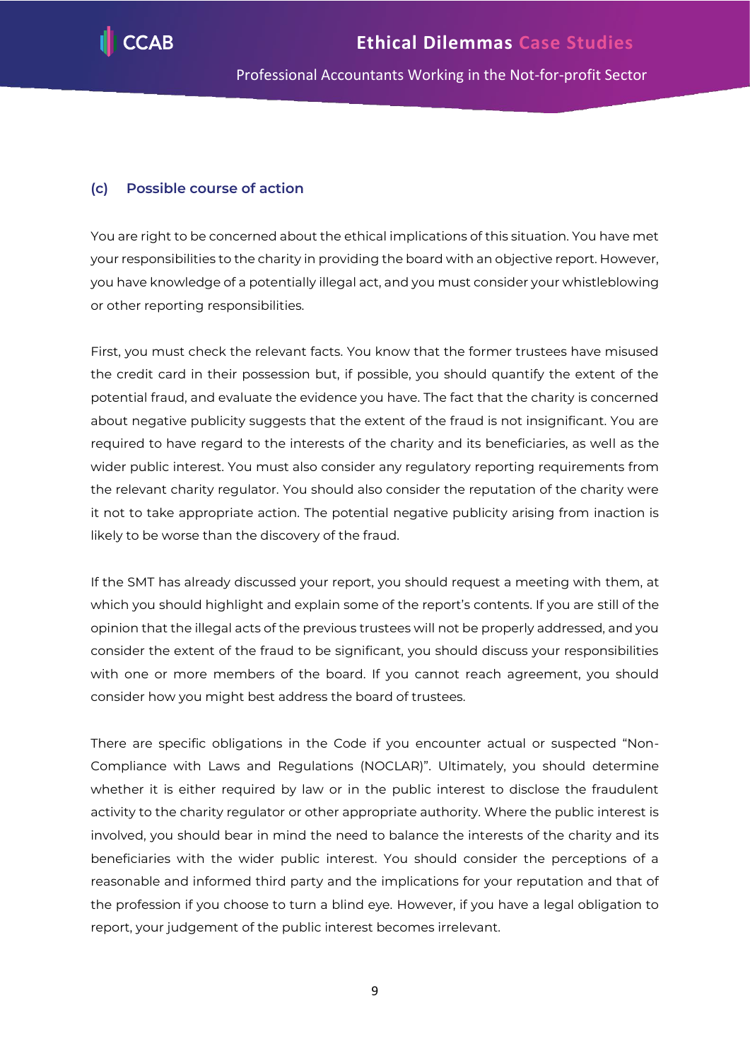

#### **(c) Possible course of action**

You are right to be concerned about the ethical implications of this situation. You have met your responsibilities to the charity in providing the board with an objective report. However, you have knowledge of a potentially illegal act, and you must consider your whistleblowing or other reporting responsibilities.

First, you must check the relevant facts. You know that the former trustees have misused the credit card in their possession but, if possible, you should quantify the extent of the potential fraud, and evaluate the evidence you have. The fact that the charity is concerned about negative publicity suggests that the extent of the fraud is not insignificant. You are required to have regard to the interests of the charity and its beneficiaries, as well as the wider public interest. You must also consider any regulatory reporting requirements from the relevant charity regulator. You should also consider the reputation of the charity were it not to take appropriate action. The potential negative publicity arising from inaction is likely to be worse than the discovery of the fraud.

If the SMT has already discussed your report, you should request a meeting with them, at which you should highlight and explain some of the report's contents. If you are still of the opinion that the illegal acts of the previous trustees will not be properly addressed, and you consider the extent of the fraud to be significant, you should discuss your responsibilities with one or more members of the board. If you cannot reach agreement, you should consider how you might best address the board of trustees.

There are specific obligations in the Code if you encounter actual or suspected "Non-Compliance with Laws and Regulations (NOCLAR)". Ultimately, you should determine whether it is either required by law or in the public interest to disclose the fraudulent activity to the charity regulator or other appropriate authority. Where the public interest is involved, you should bear in mind the need to balance the interests of the charity and its beneficiaries with the wider public interest. You should consider the perceptions of a reasonable and informed third party and the implications for your reputation and that of the profession if you choose to turn a blind eye. However, if you have a legal obligation to report, your judgement of the public interest becomes irrelevant.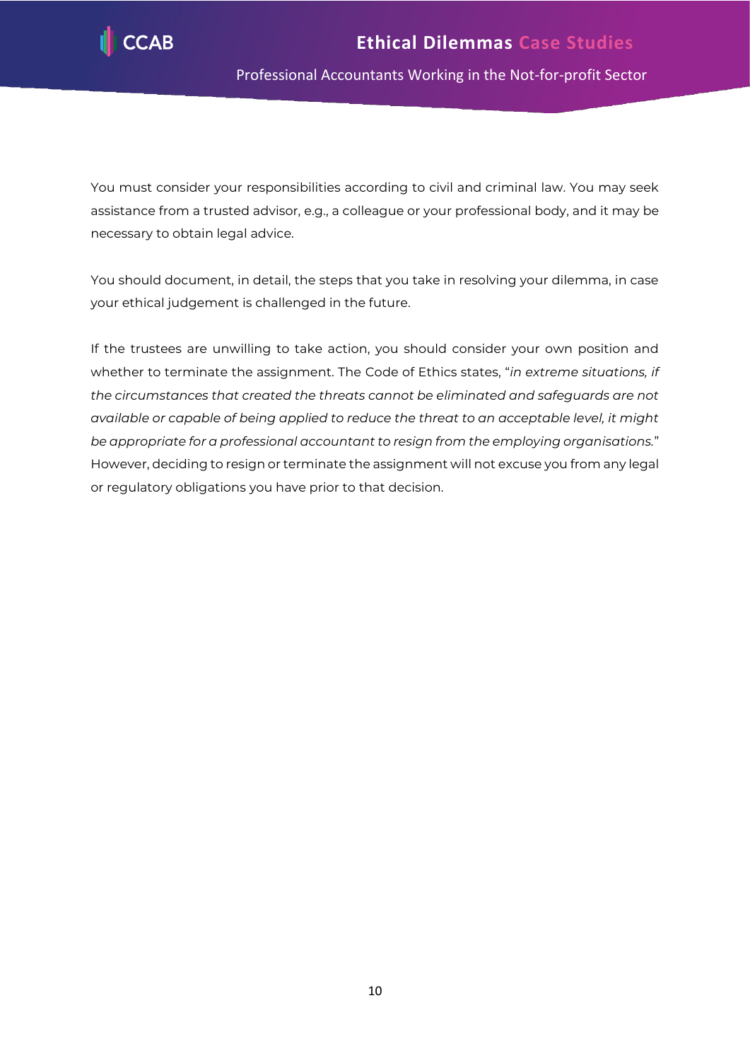

You must consider your responsibilities according to civil and criminal law. You may seek assistance from a trusted advisor, e.g., a colleague or your professional body, and it may be necessary to obtain legal advice.

You should document, in detail, the steps that you take in resolving your dilemma, in case your ethical judgement is challenged in the future.

If the trustees are unwilling to take action, you should consider your own position and whether to terminate the assignment. The Code of Ethics states, "*in extreme situations, if the circumstances that created the threats cannot be eliminated and safeguards are not available or capable of being applied to reduce the threat to an acceptable level, it might be appropriate for a professional accountant to resign from the employing organisations.*" However, deciding to resign or terminate the assignment will not excuse you from any legal or regulatory obligations you have prior to that decision.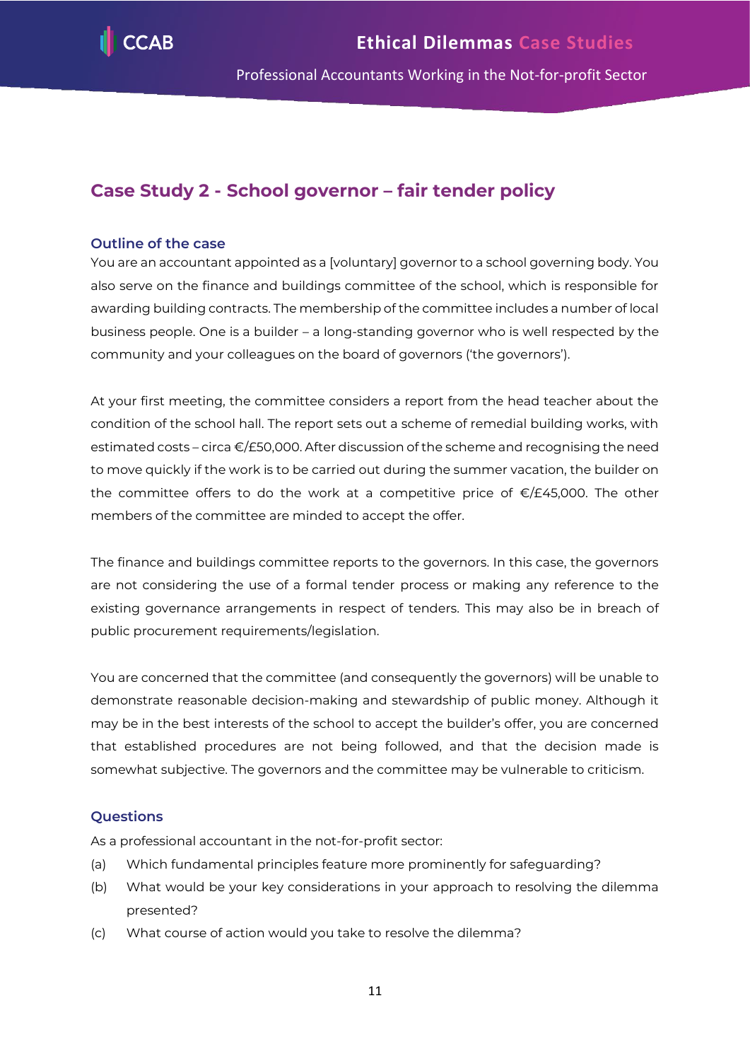

# <span id="page-11-0"></span>**Case Study 2 - School governor – fair tender policy**

#### **Outline of the case**

You are an accountant appointed as a [voluntary] governor to a school governing body. You also serve on the finance and buildings committee of the school, which is responsible for awarding building contracts. The membership of the committee includes a number of local business people. One is a builder – a long-standing governor who is well respected by the community and your colleagues on the board of governors ('the governors').

At your first meeting, the committee considers a report from the head teacher about the condition of the school hall. The report sets out a scheme of remedial building works, with estimated costs – circa €/£50,000. After discussion of the scheme and recognising the need to move quickly if the work is to be carried out during the summer vacation, the builder on the committee offers to do the work at a competitive price of  $E/E45,000$ . The other members of the committee are minded to accept the offer.

The finance and buildings committee reports to the governors. In this case, the governors are not considering the use of a formal tender process or making any reference to the existing governance arrangements in respect of tenders. This may also be in breach of public procurement requirements/legislation.

You are concerned that the committee (and consequently the governors) will be unable to demonstrate reasonable decision-making and stewardship of public money. Although it may be in the best interests of the school to accept the builder's offer, you are concerned that established procedures are not being followed, and that the decision made is somewhat subjective. The governors and the committee may be vulnerable to criticism.

#### **Questions**

As a professional accountant in the not-for-profit sector:

- (a) Which fundamental principles feature more prominently for safeguarding?
- (b) What would be your key considerations in your approach to resolving the dilemma presented?
- (c) What course of action would you take to resolve the dilemma?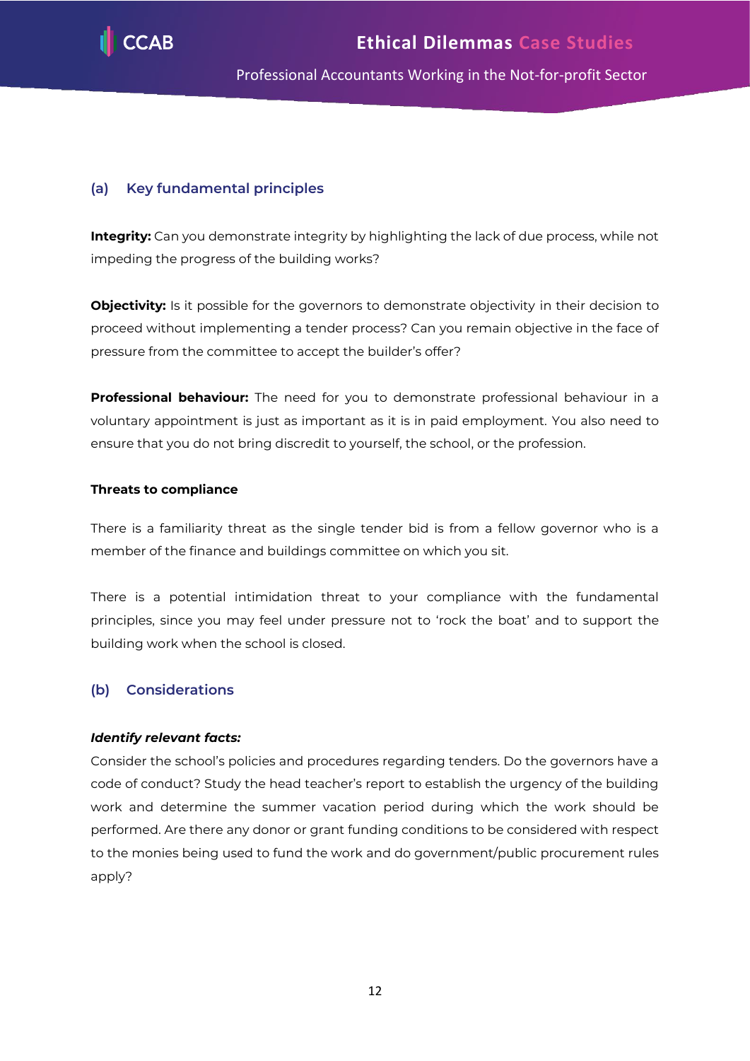

#### **(a) Key fundamental principles**

**Integrity:** Can you demonstrate integrity by highlighting the lack of due process, while not impeding the progress of the building works?

**Objectivity:** Is it possible for the governors to demonstrate objectivity in their decision to proceed without implementing a tender process? Can you remain objective in the face of pressure from the committee to accept the builder's offer?

**Professional behaviour:** The need for you to demonstrate professional behaviour in a voluntary appointment is just as important as it is in paid employment. You also need to ensure that you do not bring discredit to yourself, the school, or the profession.

#### **Threats to compliance**

There is a familiarity threat as the single tender bid is from a fellow governor who is a member of the finance and buildings committee on which you sit.

There is a potential intimidation threat to your compliance with the fundamental principles, since you may feel under pressure not to 'rock the boat' and to support the building work when the school is closed.

#### **(b) Considerations**

#### *Identify relevant facts:*

Consider the school's policies and procedures regarding tenders. Do the governors have a code of conduct? Study the head teacher's report to establish the urgency of the building work and determine the summer vacation period during which the work should be performed. Are there any donor or grant funding conditions to be considered with respect to the monies being used to fund the work and do government/public procurement rules apply?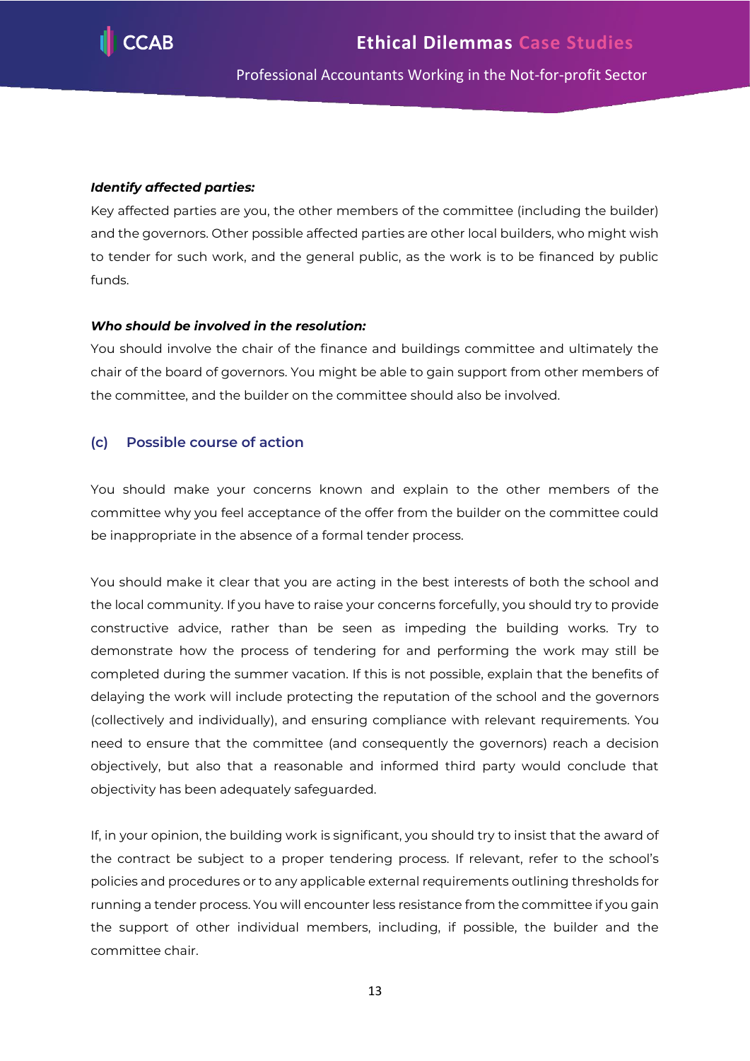

#### *Identify affected parties:*

Key affected parties are you, the other members of the committee (including the builder) and the governors. Other possible affected parties are other local builders, who might wish to tender for such work, and the general public, as the work is to be financed by public funds.

#### *Who should be involved in the resolution:*

You should involve the chair of the finance and buildings committee and ultimately the chair of the board of governors. You might be able to gain support from other members of the committee, and the builder on the committee should also be involved.

#### **(c) Possible course of action**

You should make your concerns known and explain to the other members of the committee why you feel acceptance of the offer from the builder on the committee could be inappropriate in the absence of a formal tender process.

You should make it clear that you are acting in the best interests of both the school and the local community. If you have to raise your concerns forcefully, you should try to provide constructive advice, rather than be seen as impeding the building works. Try to demonstrate how the process of tendering for and performing the work may still be completed during the summer vacation. If this is not possible, explain that the benefits of delaying the work will include protecting the reputation of the school and the governors (collectively and individually), and ensuring compliance with relevant requirements. You need to ensure that the committee (and consequently the governors) reach a decision objectively, but also that a reasonable and informed third party would conclude that objectivity has been adequately safeguarded.

If, in your opinion, the building work is significant, you should try to insist that the award of the contract be subject to a proper tendering process. If relevant, refer to the school's policies and procedures or to any applicable external requirements outlining thresholds for running a tender process. You will encounter less resistance from the committee if you gain the support of other individual members, including, if possible, the builder and the committee chair.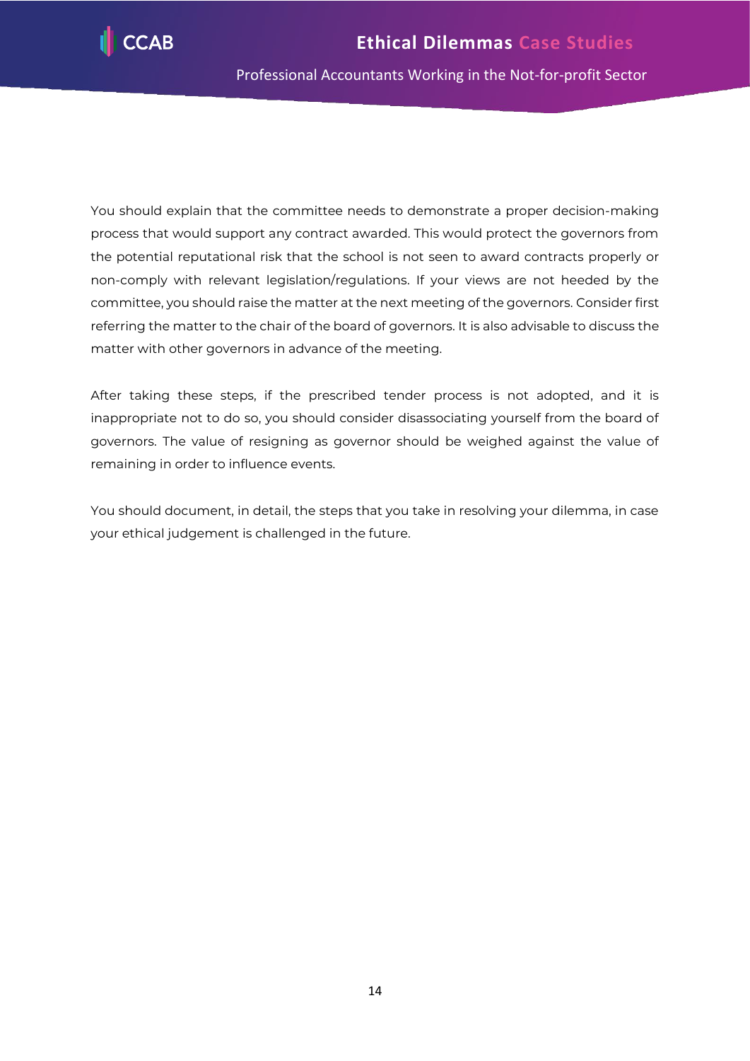

You should explain that the committee needs to demonstrate a proper decision-making process that would support any contract awarded. This would protect the governors from the potential reputational risk that the school is not seen to award contracts properly or non-comply with relevant legislation/regulations. If your views are not heeded by the committee, you should raise the matter at the next meeting of the governors. Consider first referring the matter to the chair of the board of governors. It is also advisable to discuss the matter with other governors in advance of the meeting.

After taking these steps, if the prescribed tender process is not adopted, and it is inappropriate not to do so, you should consider disassociating yourself from the board of governors. The value of resigning as governor should be weighed against the value of remaining in order to influence events.

You should document, in detail, the steps that you take in resolving your dilemma, in case your ethical judgement is challenged in the future.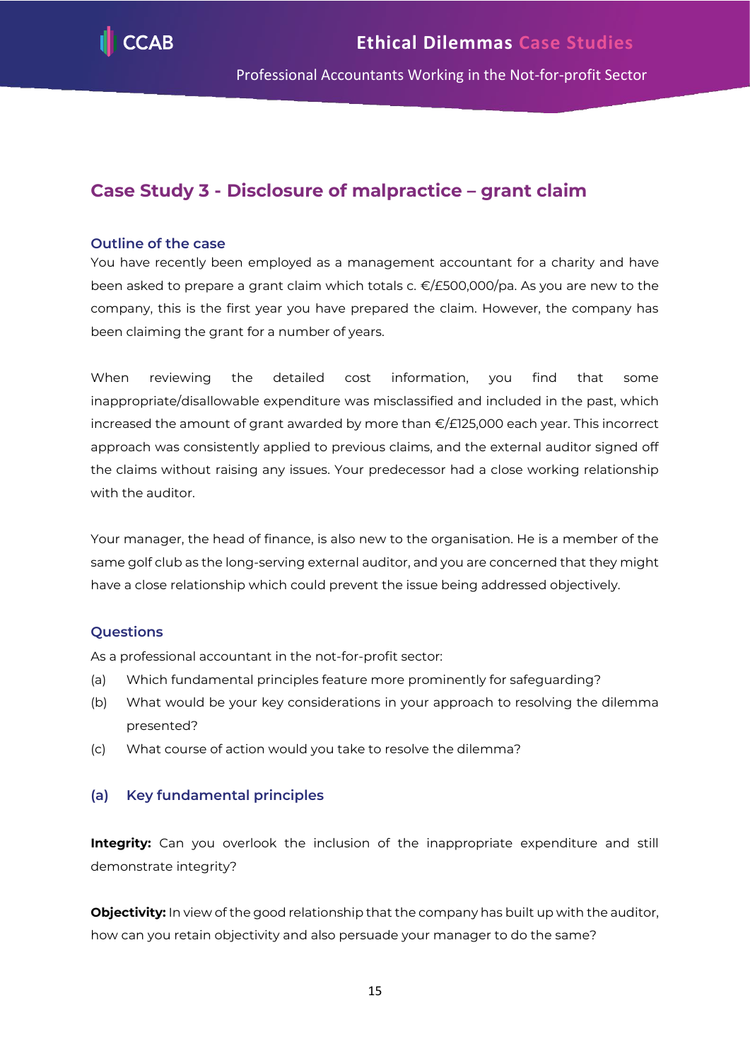

# <span id="page-15-0"></span>**Case Study 3 - Disclosure of malpractice – grant claim**

#### **Outline of the case**

You have recently been employed as a management accountant for a charity and have been asked to prepare a grant claim which totals c. €/£500,000/pa. As you are new to the company, this is the first year you have prepared the claim. However, the company has been claiming the grant for a number of years.

When reviewing the detailed cost information, you find that some inappropriate/disallowable expenditure was misclassified and included in the past, which increased the amount of grant awarded by more than €/£125,000 each year. This incorrect approach was consistently applied to previous claims, and the external auditor signed off the claims without raising any issues. Your predecessor had a close working relationship with the auditor.

Your manager, the head of finance, is also new to the organisation. He is a member of the same golf club as the long-serving external auditor, and you are concerned that they might have a close relationship which could prevent the issue being addressed objectively.

#### **Questions**

As a professional accountant in the not-for-profit sector:

- (a) Which fundamental principles feature more prominently for safeguarding?
- (b) What would be your key considerations in your approach to resolving the dilemma presented?
- (c) What course of action would you take to resolve the dilemma?

#### **(a) Key fundamental principles**

**Integrity:** Can you overlook the inclusion of the inappropriate expenditure and still demonstrate integrity?

**Objectivity:** In view of the good relationship that the company has built up with the auditor, how can you retain objectivity and also persuade your manager to do the same?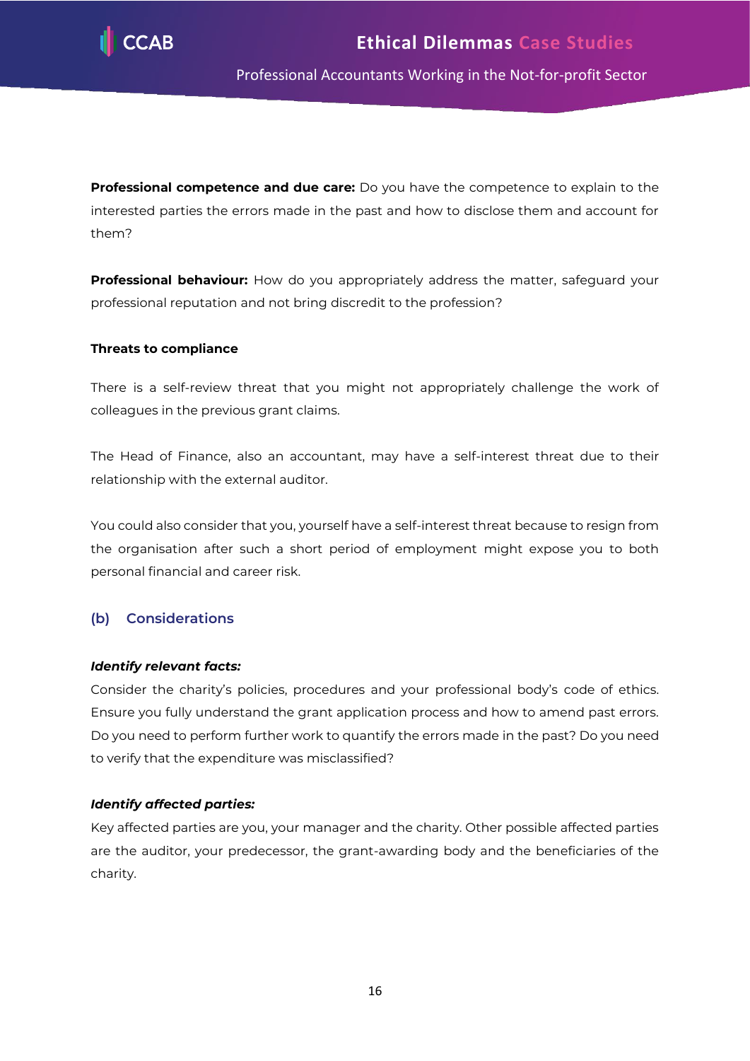

**Professional competence and due care:** Do you have the competence to explain to the interested parties the errors made in the past and how to disclose them and account for them?

**Professional behaviour:** How do you appropriately address the matter, safeguard your professional reputation and not bring discredit to the profession?

#### **Threats to compliance**

There is a self-review threat that you might not appropriately challenge the work of colleagues in the previous grant claims.

The Head of Finance, also an accountant, may have a self-interest threat due to their relationship with the external auditor.

You could also consider that you, yourself have a self-interest threat because to resign from the organisation after such a short period of employment might expose you to both personal financial and career risk.

#### **(b) Considerations**

#### *Identify relevant facts:*

Consider the charity's policies, procedures and your professional body's code of ethics. Ensure you fully understand the grant application process and how to amend past errors. Do you need to perform further work to quantify the errors made in the past? Do you need to verify that the expenditure was misclassified?

#### *Identify affected parties:*

Key affected parties are you, your manager and the charity. Other possible affected parties are the auditor, your predecessor, the grant-awarding body and the beneficiaries of the charity.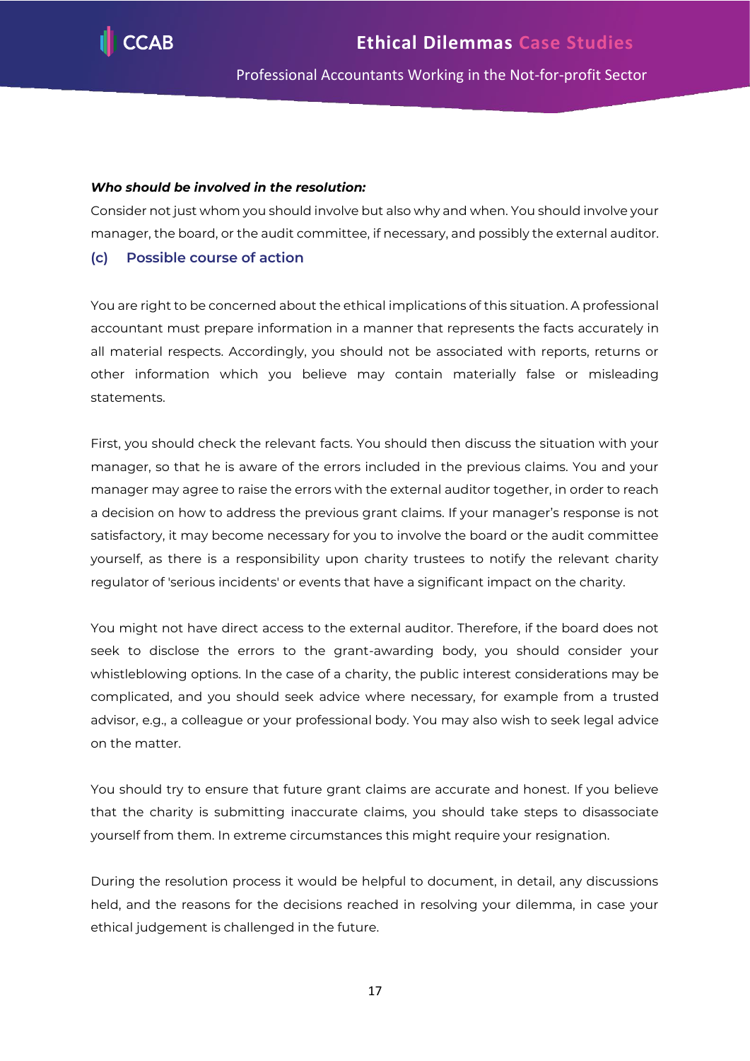

#### *Who should be involved in the resolution:*

Consider not just whom you should involve but also why and when. You should involve your manager, the board, or the audit committee, if necessary, and possibly the external auditor.

#### **(c) Possible course of action**

You are right to be concerned about the ethical implications of this situation. A professional accountant must prepare information in a manner that represents the facts accurately in all material respects. Accordingly, you should not be associated with reports, returns or other information which you believe may contain materially false or misleading statements.

First, you should check the relevant facts. You should then discuss the situation with your manager, so that he is aware of the errors included in the previous claims. You and your manager may agree to raise the errors with the external auditor together, in order to reach a decision on how to address the previous grant claims. If your manager's response is not satisfactory, it may become necessary for you to involve the board or the audit committee yourself, as there is a responsibility upon charity trustees to notify the relevant charity regulator of 'serious incidents' or events that have a significant impact on the charity.

You might not have direct access to the external auditor. Therefore, if the board does not seek to disclose the errors to the grant-awarding body, you should consider your whistleblowing options. In the case of a charity, the public interest considerations may be complicated, and you should seek advice where necessary, for example from a trusted advisor, e.g., a colleague or your professional body. You may also wish to seek legal advice on the matter.

You should try to ensure that future grant claims are accurate and honest. If you believe that the charity is submitting inaccurate claims, you should take steps to disassociate yourself from them. In extreme circumstances this might require your resignation.

During the resolution process it would be helpful to document, in detail, any discussions held, and the reasons for the decisions reached in resolving your dilemma, in case your ethical judgement is challenged in the future.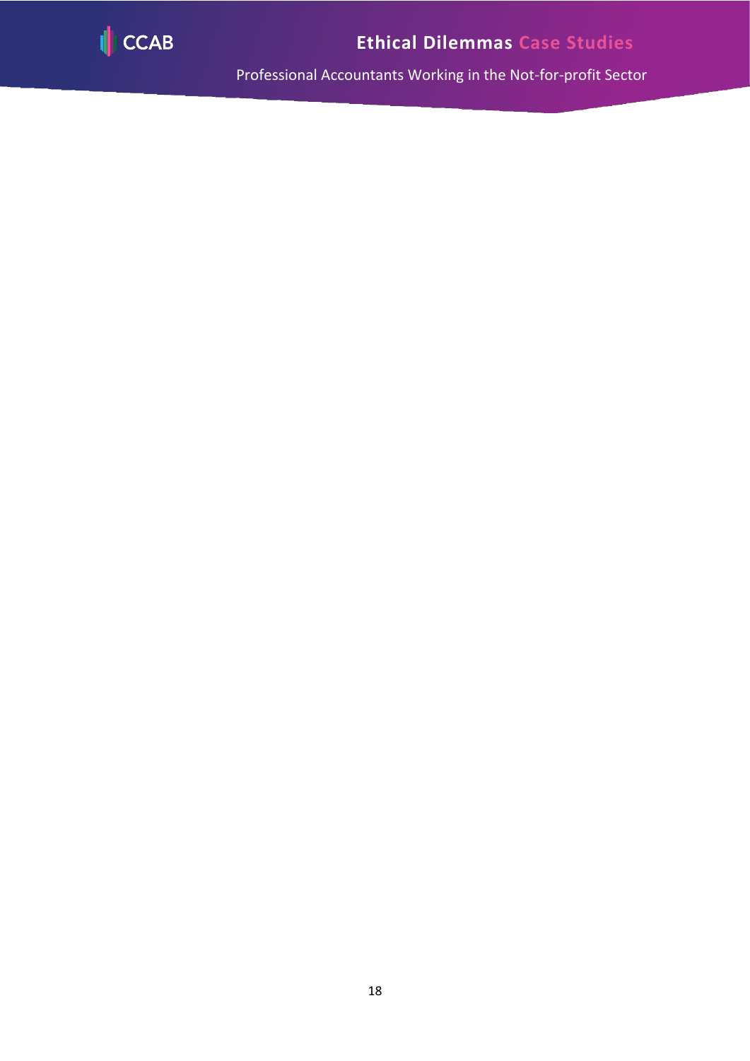

# **Ethical Dilemmas Case Studies**

Professional Accountants Working in the Not-for-profit Sector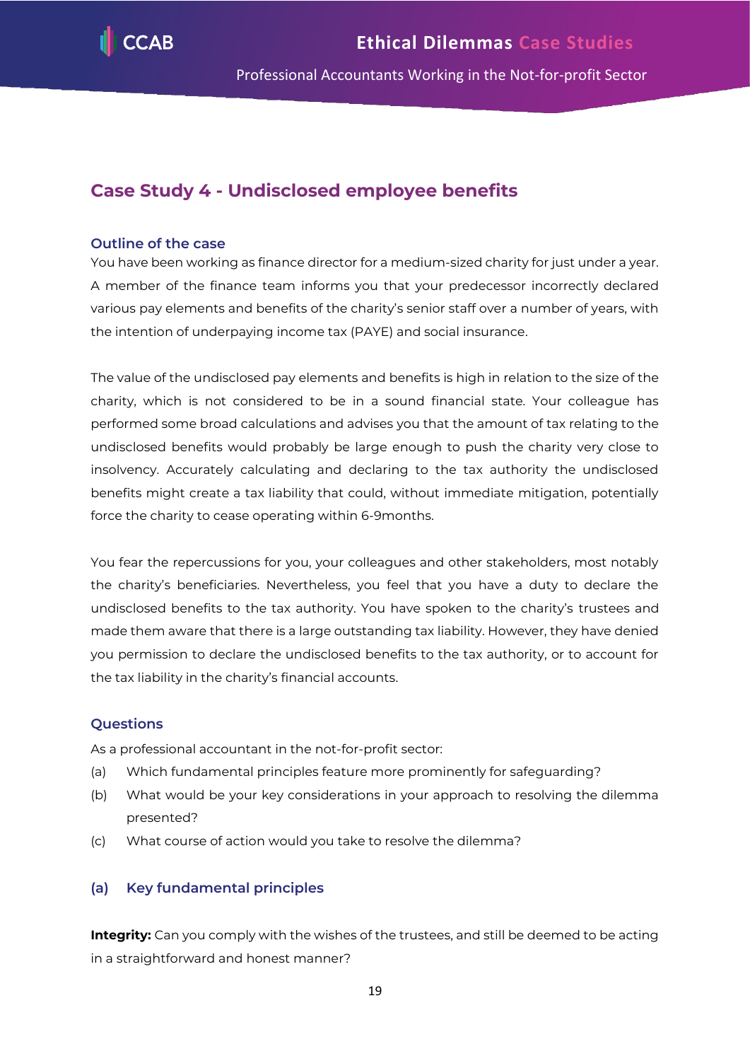

# <span id="page-19-0"></span>**Case Study 4 - Undisclosed employee benefits**

#### **Outline of the case**

You have been working as finance director for a medium-sized charity for just under a year. A member of the finance team informs you that your predecessor incorrectly declared various pay elements and benefits of the charity's senior staff over a number of years, with the intention of underpaying income tax (PAYE) and social insurance.

The value of the undisclosed pay elements and benefits is high in relation to the size of the charity, which is not considered to be in a sound financial state. Your colleague has performed some broad calculations and advises you that the amount of tax relating to the undisclosed benefits would probably be large enough to push the charity very close to insolvency. Accurately calculating and declaring to the tax authority the undisclosed benefits might create a tax liability that could, without immediate mitigation, potentially force the charity to cease operating within 6-9months.

You fear the repercussions for you, your colleagues and other stakeholders, most notably the charity's beneficiaries. Nevertheless, you feel that you have a duty to declare the undisclosed benefits to the tax authority. You have spoken to the charity's trustees and made them aware that there is a large outstanding tax liability. However, they have denied you permission to declare the undisclosed benefits to the tax authority, or to account for the tax liability in the charity's financial accounts.

#### **Questions**

As a professional accountant in the not-for-profit sector:

- (a) Which fundamental principles feature more prominently for safeguarding?
- (b) What would be your key considerations in your approach to resolving the dilemma presented?
- (c) What course of action would you take to resolve the dilemma?

#### **(a) Key fundamental principles**

**Integrity:** Can you comply with the wishes of the trustees, and still be deemed to be acting in a straightforward and honest manner?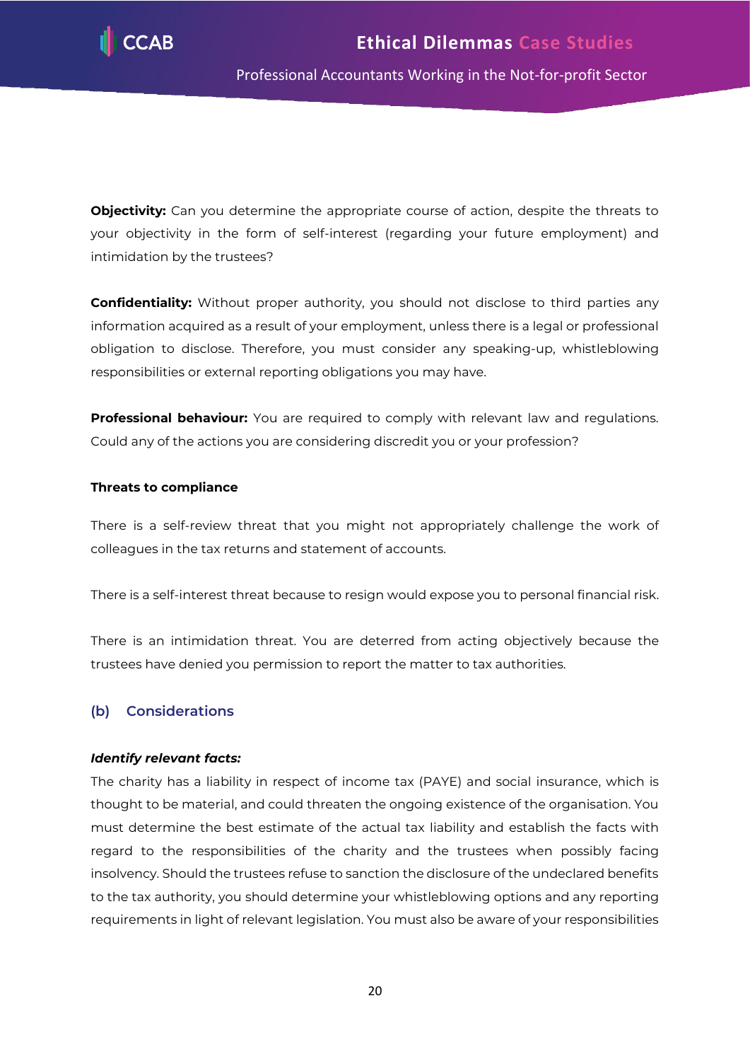

**Objectivity:** Can you determine the appropriate course of action, despite the threats to your objectivity in the form of self-interest (regarding your future employment) and intimidation by the trustees?

**Confidentiality:** Without proper authority, you should not disclose to third parties any information acquired as a result of your employment, unless there is a legal or professional obligation to disclose. Therefore, you must consider any speaking-up, whistleblowing responsibilities or external reporting obligations you may have.

**Professional behaviour:** You are required to comply with relevant law and regulations. Could any of the actions you are considering discredit you or your profession?

#### **Threats to compliance**

There is a self-review threat that you might not appropriately challenge the work of colleagues in the tax returns and statement of accounts.

There is a self-interest threat because to resign would expose you to personal financial risk.

There is an intimidation threat. You are deterred from acting objectively because the trustees have denied you permission to report the matter to tax authorities.

#### **(b) Considerations**

#### *Identify relevant facts:*

The charity has a liability in respect of income tax (PAYE) and social insurance, which is thought to be material, and could threaten the ongoing existence of the organisation. You must determine the best estimate of the actual tax liability and establish the facts with regard to the responsibilities of the charity and the trustees when possibly facing insolvency. Should the trustees refuse to sanction the disclosure of the undeclared benefits to the tax authority, you should determine your whistleblowing options and any reporting requirements in light of relevant legislation. You must also be aware of your responsibilities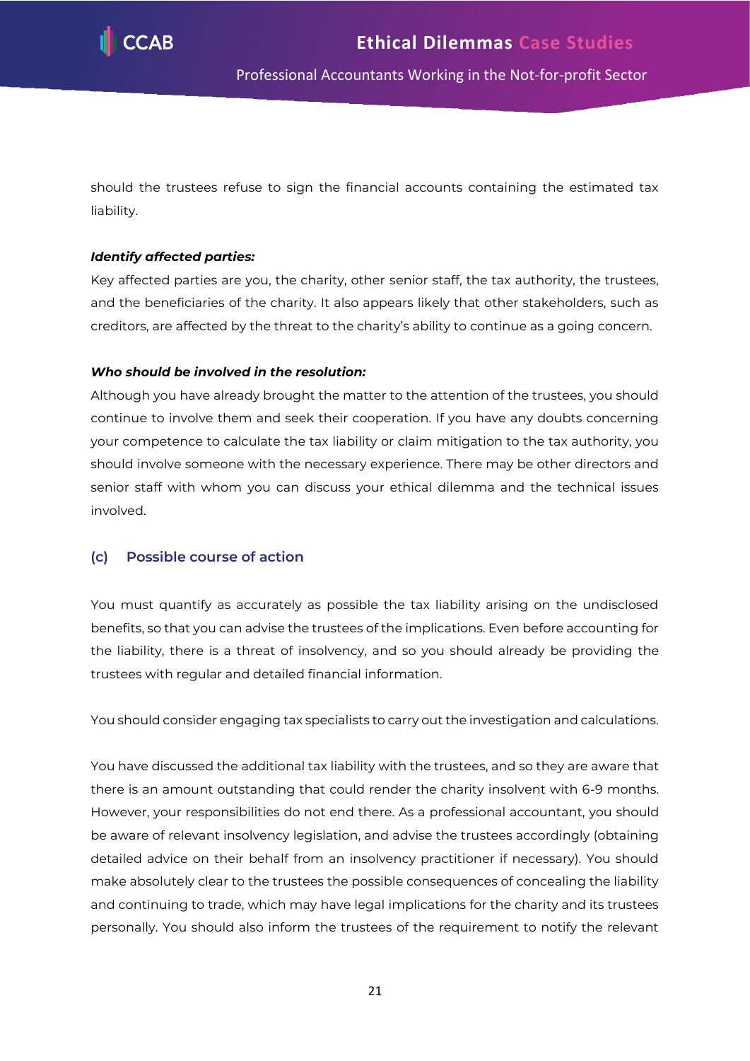

should the trustees refuse to sign the financial accounts containing the estimated tax liability.

#### *Identify affected parties:*

Key affected parties are you, the charity, other senior staff, the tax authority, the trustees, and the beneficiaries of the charity. It also appears likely that other stakeholders, such as creditors, are affected by the threat to the charity's ability to continue as a going concern.

#### *Who should be involved in the resolution:*

Although you have already brought the matter to the attention of the trustees, you should continue to involve them and seek their cooperation. If you have any doubts concerning your competence to calculate the tax liability or claim mitigation to the tax authority, you should involve someone with the necessary experience. There may be other directors and senior staff with whom you can discuss your ethical dilemma and the technical issues involved.

#### **(c) Possible course of action**

You must quantify as accurately as possible the tax liability arising on the undisclosed benefits, so that you can advise the trustees of the implications. Even before accounting for the liability, there is a threat of insolvency, and so you should already be providing the trustees with regular and detailed financial information.

You should consider engaging tax specialists to carry out the investigation and calculations.

You have discussed the additional tax liability with the trustees, and so they are aware that there is an amount outstanding that could render the charity insolvent with 6-9 months. However, your responsibilities do not end there. As a professional accountant, you should be aware of relevant insolvency legislation, and advise the trustees accordingly (obtaining detailed advice on their behalf from an insolvency practitioner if necessary). You should make absolutely clear to the trustees the possible consequences of concealing the liability and continuing to trade, which may have legal implications for the charity and its trustees personally. You should also inform the trustees of the requirement to notify the relevant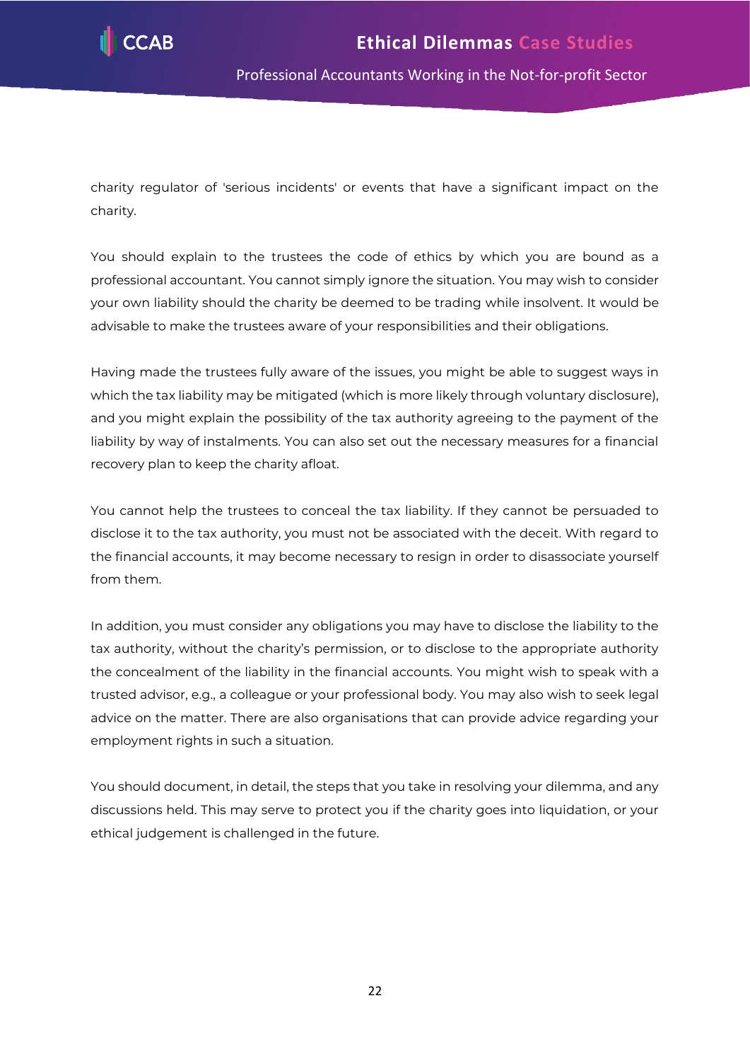

charity regulator of 'serious incidents' or events that have a significant impact on the charity.

You should explain to the trustees the code of ethics by which you are bound as a professional accountant. You cannot simply ignore the situation. You may wish to consider your own liability should the charity be deemed to be trading while insolvent. It would be advisable to make the trustees aware of your responsibilities and their obligations.

Having made the trustees fully aware of the issues, you might be able to suggest ways in which the tax liability may be mitigated (which is more likely through voluntary disclosure), and you might explain the possibility of the tax authority agreeing to the payment of the liability by way of instalments. You can also set out the necessary measures for a financial recovery plan to keep the charity afloat.

You cannot help the trustees to conceal the tax liability. If they cannot be persuaded to disclose it to the tax authority, you must not be associated with the deceit. With regard to the financial accounts, it may become necessary to resign in order to disassociate yourself from them.

In addition, you must consider any obligations you may have to disclose the liability to the tax authority, without the charity's permission, or to disclose to the appropriate authority the concealment of the liability in the financial accounts. You might wish to speak with a trusted advisor, e.g., a colleague or your professional body. You may also wish to seek legal advice on the matter. There are also organisations that can provide advice regarding your employment rights in such a situation.

You should document, in detail, the steps that you take in resolving your dilemma, and any discussions held. This may serve to protect you if the charity goes into liquidation, or your ethical judgement is challenged in the future.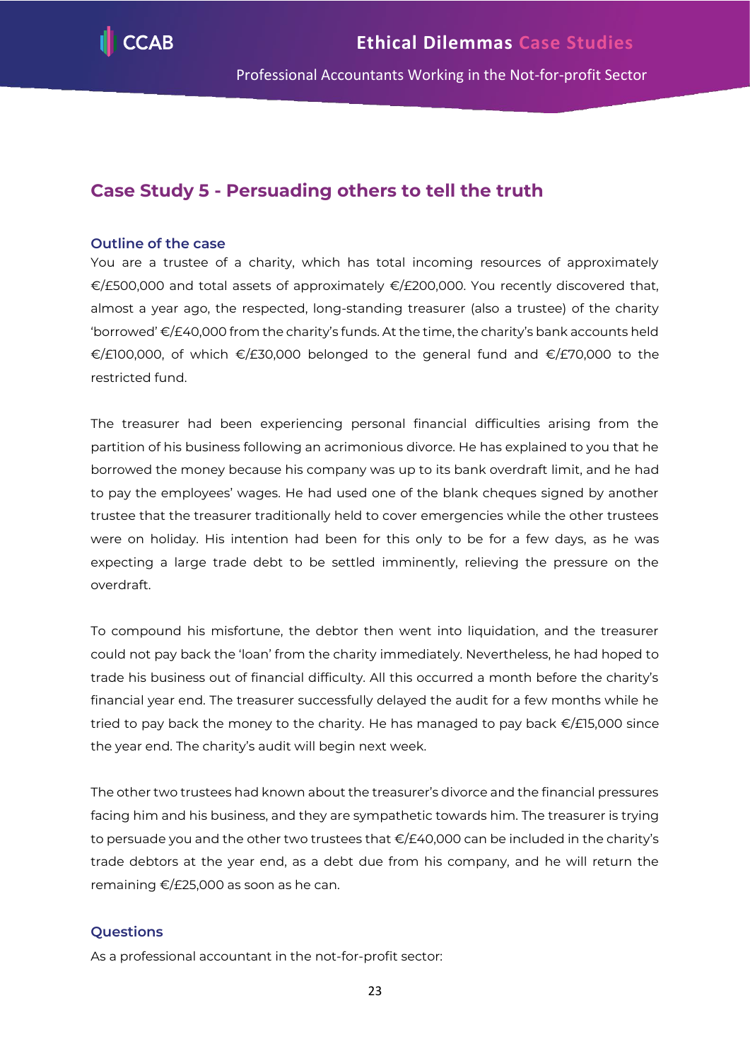

### <span id="page-23-0"></span>**Case Study 5 - Persuading others to tell the truth**

#### **Outline of the case**

You are a trustee of a charity, which has total incoming resources of approximately €/£500,000 and total assets of approximately €/£200,000. You recently discovered that, almost a year ago, the respected, long-standing treasurer (also a trustee) of the charity 'borrowed' €/£40,000 from the charity's funds. At the time, the charity's bank accounts held €/£100,000, of which €/£30,000 belonged to the general fund and €/£70,000 to the restricted fund.

The treasurer had been experiencing personal financial difficulties arising from the partition of his business following an acrimonious divorce. He has explained to you that he borrowed the money because his company was up to its bank overdraft limit, and he had to pay the employees' wages. He had used one of the blank cheques signed by another trustee that the treasurer traditionally held to cover emergencies while the other trustees were on holiday. His intention had been for this only to be for a few days, as he was expecting a large trade debt to be settled imminently, relieving the pressure on the overdraft.

To compound his misfortune, the debtor then went into liquidation, and the treasurer could not pay back the 'loan' from the charity immediately. Nevertheless, he had hoped to trade his business out of financial difficulty. All this occurred a month before the charity's financial year end. The treasurer successfully delayed the audit for a few months while he tried to pay back the money to the charity. He has managed to pay back €/£15,000 since the year end. The charity's audit will begin next week.

The other two trustees had known about the treasurer's divorce and the financial pressures facing him and his business, and they are sympathetic towards him. The treasurer is trying to persuade you and the other two trustees that €/£40,000 can be included in the charity's trade debtors at the year end, as a debt due from his company, and he will return the remaining €/£25,000 as soon as he can.

#### **Questions**

As a professional accountant in the not-for-profit sector: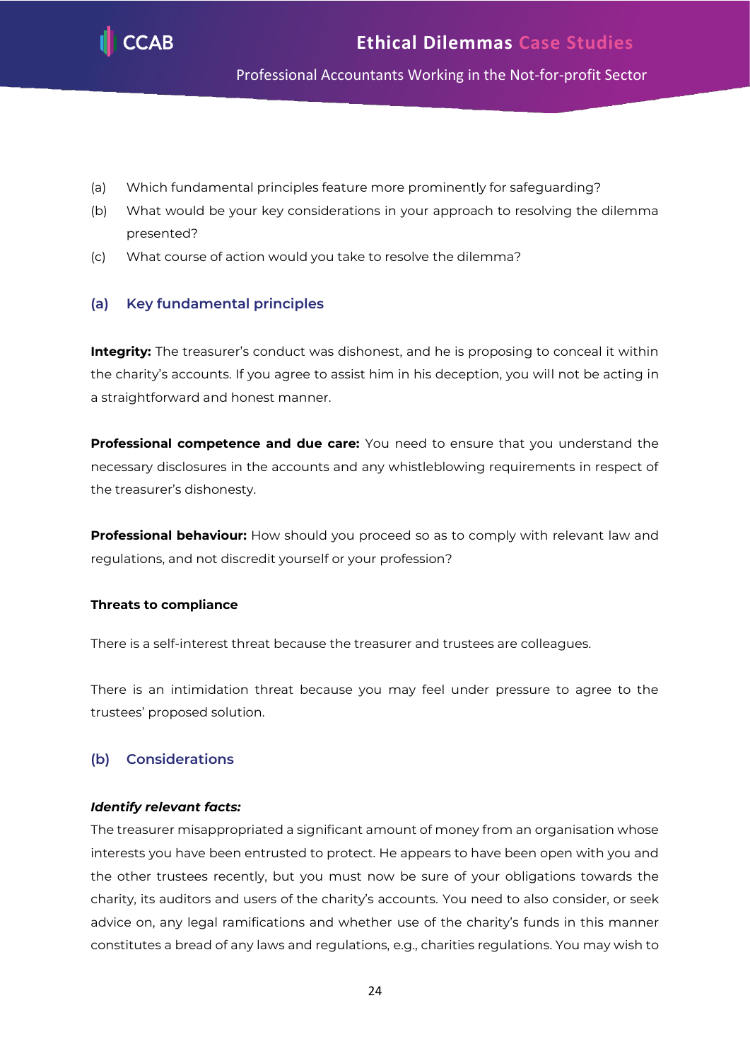

- (a) Which fundamental principles feature more prominently for safeguarding?
- (b) What would be your key considerations in your approach to resolving the dilemma presented?
- (c) What course of action would you take to resolve the dilemma?

#### **(a) Key fundamental principles**

**Integrity:** The treasurer's conduct was dishonest, and he is proposing to conceal it within the charity's accounts. If you agree to assist him in his deception, you will not be acting in a straightforward and honest manner.

**Professional competence and due care:** You need to ensure that you understand the necessary disclosures in the accounts and any whistleblowing requirements in respect of the treasurer's dishonesty.

**Professional behaviour:** How should you proceed so as to comply with relevant law and regulations, and not discredit yourself or your profession?

#### **Threats to compliance**

There is a self-interest threat because the treasurer and trustees are colleagues.

There is an intimidation threat because you may feel under pressure to agree to the trustees' proposed solution.

#### **(b) Considerations**

#### *Identify relevant facts:*

The treasurer misappropriated a significant amount of money from an organisation whose interests you have been entrusted to protect. He appears to have been open with you and the other trustees recently, but you must now be sure of your obligations towards the charity, its auditors and users of the charity's accounts. You need to also consider, or seek advice on, any legal ramifications and whether use of the charity's funds in this manner constitutes a bread of any laws and regulations, e.g., charities regulations. You may wish to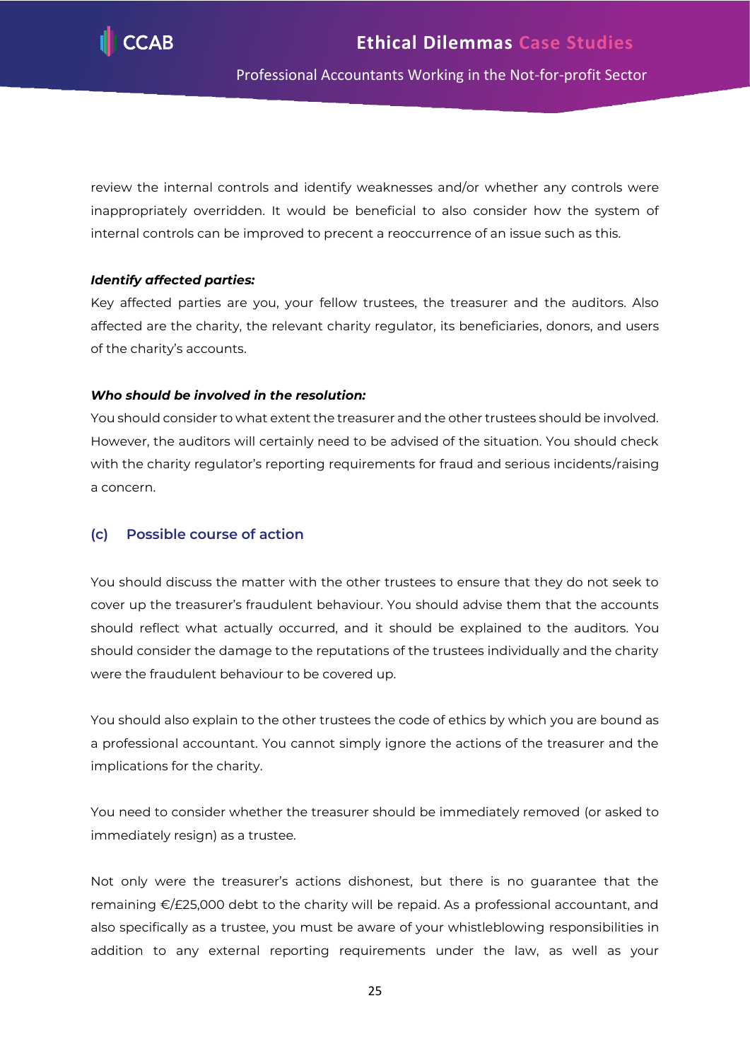

review the internal controls and identify weaknesses and/or whether any controls were inappropriately overridden. It would be beneficial to also consider how the system of internal controls can be improved to precent a reoccurrence of an issue such as this.

#### *Identify affected parties:*

Key affected parties are you, your fellow trustees, the treasurer and the auditors. Also affected are the charity, the relevant charity regulator, its beneficiaries, donors, and users of the charity's accounts.

#### *Who should be involved in the resolution:*

You should consider to what extent the treasurer and the other trustees should be involved. However, the auditors will certainly need to be advised of the situation. You should check with the charity regulator's reporting requirements for fraud and serious incidents/raising a concern.

#### **(c) Possible course of action**

You should discuss the matter with the other trustees to ensure that they do not seek to cover up the treasurer's fraudulent behaviour. You should advise them that the accounts should reflect what actually occurred, and it should be explained to the auditors. You should consider the damage to the reputations of the trustees individually and the charity were the fraudulent behaviour to be covered up.

You should also explain to the other trustees the code of ethics by which you are bound as a professional accountant. You cannot simply ignore the actions of the treasurer and the implications for the charity.

You need to consider whether the treasurer should be immediately removed (or asked to immediately resign) as a trustee.

Not only were the treasurer's actions dishonest, but there is no guarantee that the remaining €/£25,000 debt to the charity will be repaid. As a professional accountant, and also specifically as a trustee, you must be aware of your whistleblowing responsibilities in addition to any external reporting requirements under the law, as well as your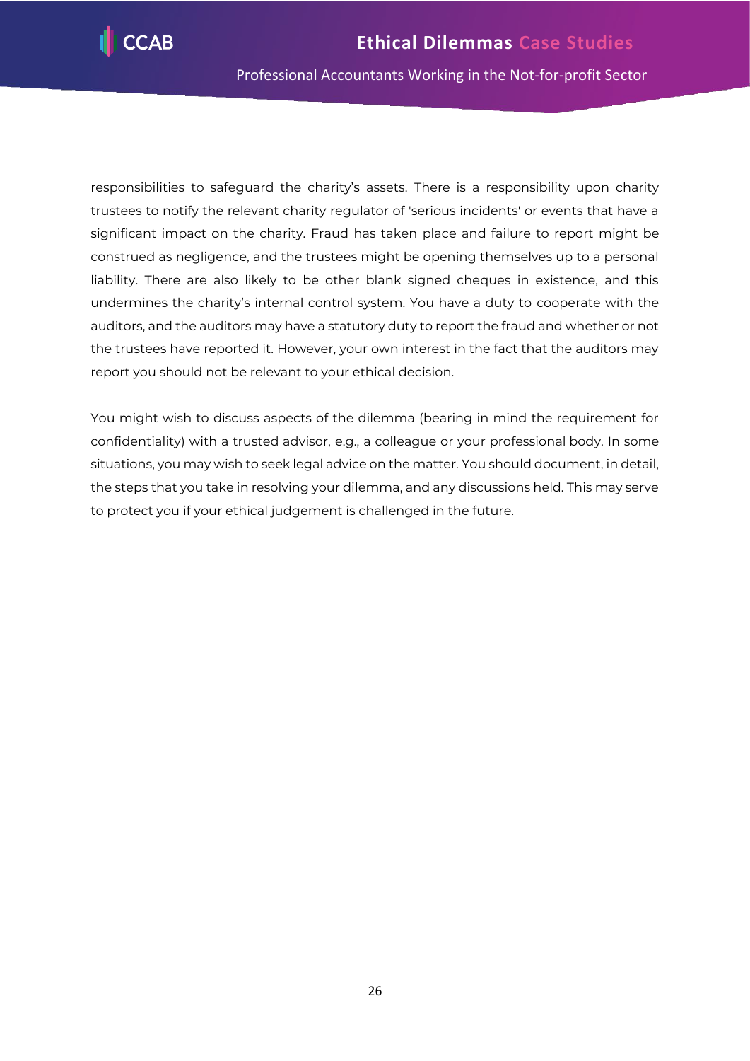

responsibilities to safeguard the charity's assets. There is a responsibility upon charity trustees to notify the relevant charity regulator of 'serious incidents' or events that have a significant impact on the charity. Fraud has taken place and failure to report might be construed as negligence, and the trustees might be opening themselves up to a personal liability. There are also likely to be other blank signed cheques in existence, and this undermines the charity's internal control system. You have a duty to cooperate with the auditors, and the auditors may have a statutory duty to report the fraud and whether or not the trustees have reported it. However, your own interest in the fact that the auditors may report you should not be relevant to your ethical decision.

You might wish to discuss aspects of the dilemma (bearing in mind the requirement for confidentiality) with a trusted advisor, e.g., a colleague or your professional body. In some situations, you may wish to seek legal advice on the matter. You should document, in detail, the steps that you take in resolving your dilemma, and any discussions held. This may serve to protect you if your ethical judgement is challenged in the future.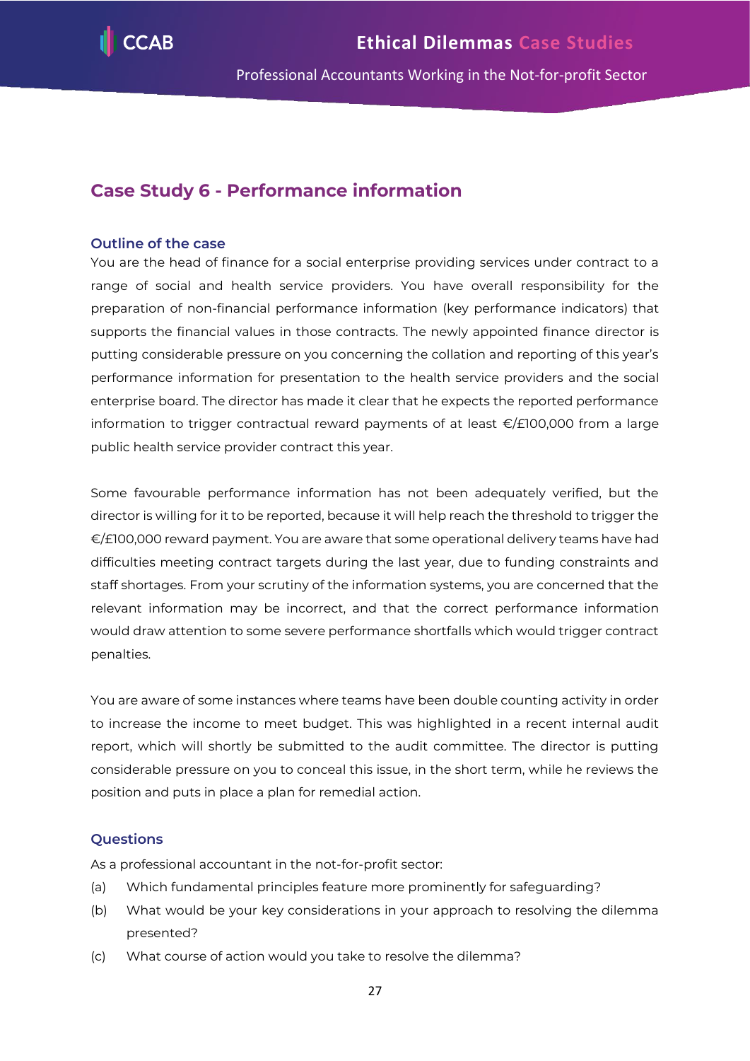

## <span id="page-27-0"></span>**Case Study 6 - Performance information**

#### **Outline of the case**

You are the head of finance for a social enterprise providing services under contract to a range of social and health service providers. You have overall responsibility for the preparation of non-financial performance information (key performance indicators) that supports the financial values in those contracts. The newly appointed finance director is putting considerable pressure on you concerning the collation and reporting of this year's performance information for presentation to the health service providers and the social enterprise board. The director has made it clear that he expects the reported performance information to trigger contractual reward payments of at least €/£100,000 from a large public health service provider contract this year.

Some favourable performance information has not been adequately verified, but the director is willing for it to be reported, because it will help reach the threshold to trigger the €/£100,000 reward payment. You are aware that some operational delivery teams have had difficulties meeting contract targets during the last year, due to funding constraints and staff shortages. From your scrutiny of the information systems, you are concerned that the relevant information may be incorrect, and that the correct performance information would draw attention to some severe performance shortfalls which would trigger contract penalties.

You are aware of some instances where teams have been double counting activity in order to increase the income to meet budget. This was highlighted in a recent internal audit report, which will shortly be submitted to the audit committee. The director is putting considerable pressure on you to conceal this issue, in the short term, while he reviews the position and puts in place a plan for remedial action.

#### **Questions**

As a professional accountant in the not-for-profit sector:

- (a) Which fundamental principles feature more prominently for safeguarding?
- (b) What would be your key considerations in your approach to resolving the dilemma presented?
- (c) What course of action would you take to resolve the dilemma?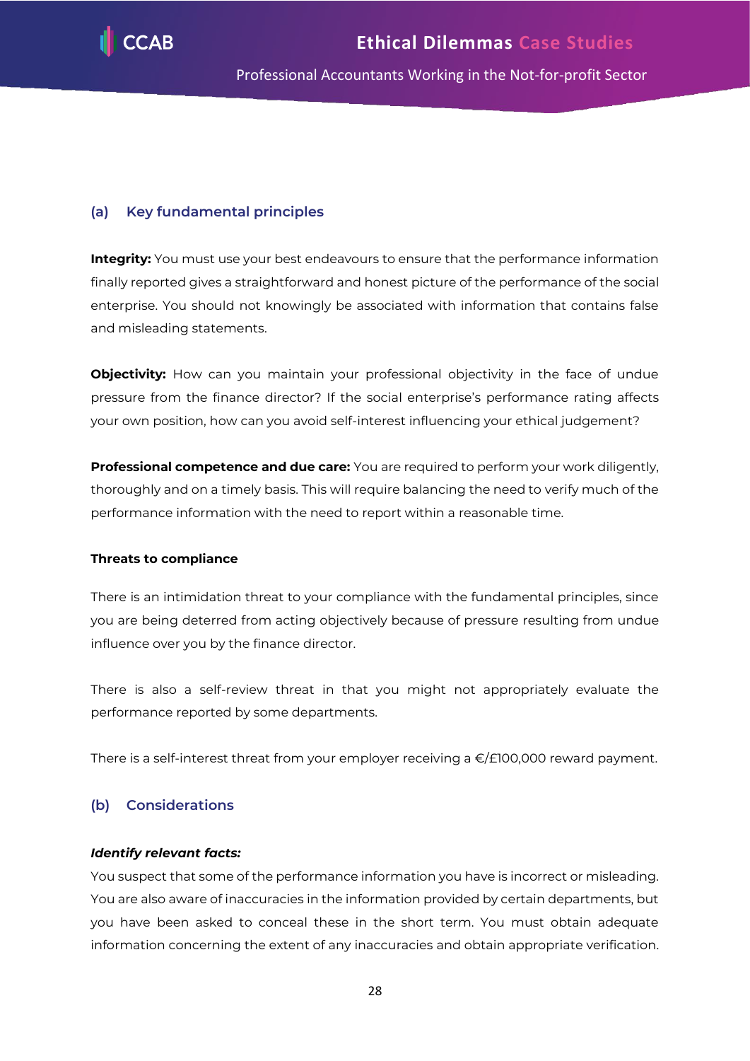

#### **(a) Key fundamental principles**

**Integrity:** You must use your best endeavours to ensure that the performance information finally reported gives a straightforward and honest picture of the performance of the social enterprise. You should not knowingly be associated with information that contains false and misleading statements.

**Objectivity:** How can you maintain your professional objectivity in the face of undue pressure from the finance director? If the social enterprise's performance rating affects your own position, how can you avoid self-interest influencing your ethical judgement?

**Professional competence and due care:** You are required to perform your work diligently, thoroughly and on a timely basis. This will require balancing the need to verify much of the performance information with the need to report within a reasonable time.

#### **Threats to compliance**

There is an intimidation threat to your compliance with the fundamental principles, since you are being deterred from acting objectively because of pressure resulting from undue influence over you by the finance director.

There is also a self-review threat in that you might not appropriately evaluate the performance reported by some departments.

There is a self-interest threat from your employer receiving a  $\epsilon$ /£100,000 reward payment.

#### **(b) Considerations**

#### *Identify relevant facts:*

You suspect that some of the performance information you have is incorrect or misleading. You are also aware of inaccuracies in the information provided by certain departments, but you have been asked to conceal these in the short term. You must obtain adequate information concerning the extent of any inaccuracies and obtain appropriate verification.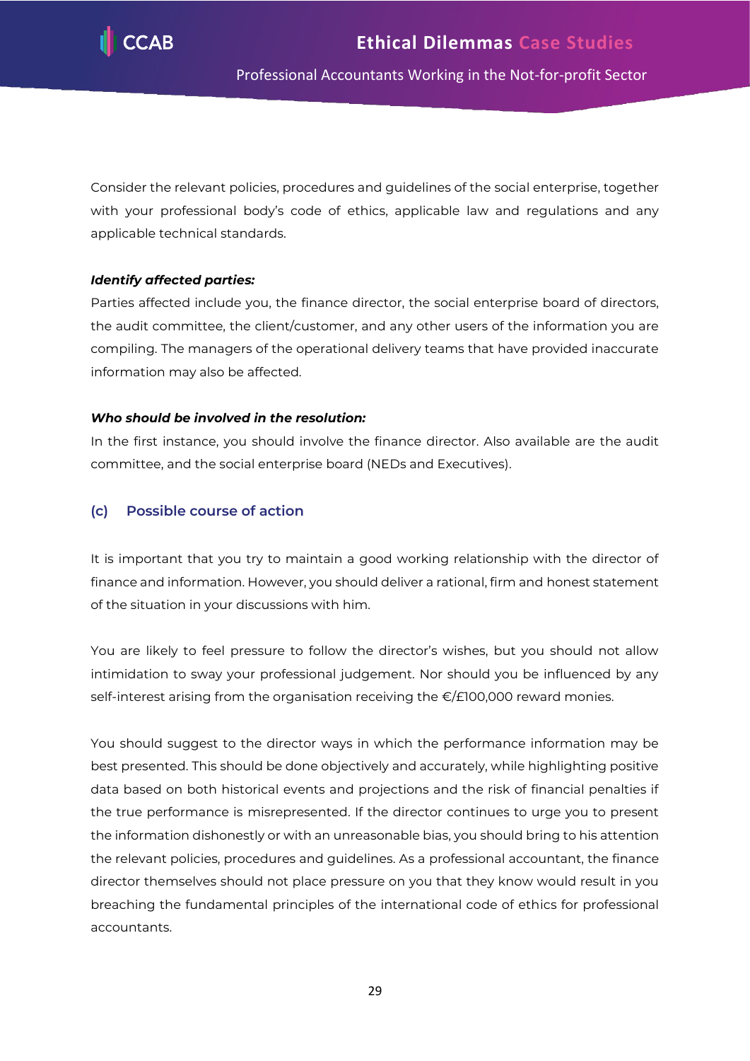

Consider the relevant policies, procedures and guidelines of the social enterprise, together with your professional body's code of ethics, applicable law and regulations and any applicable technical standards.

#### *Identify affected parties:*

Parties affected include you, the finance director, the social enterprise board of directors, the audit committee, the client/customer, and any other users of the information you are compiling. The managers of the operational delivery teams that have provided inaccurate information may also be affected.

#### *Who should be involved in the resolution:*

In the first instance, you should involve the finance director. Also available are the audit committee, and the social enterprise board (NEDs and Executives).

#### **(c) Possible course of action**

It is important that you try to maintain a good working relationship with the director of finance and information. However, you should deliver a rational, firm and honest statement of the situation in your discussions with him.

You are likely to feel pressure to follow the director's wishes, but you should not allow intimidation to sway your professional judgement. Nor should you be influenced by any self-interest arising from the organisation receiving the €/£100,000 reward monies.

You should suggest to the director ways in which the performance information may be best presented. This should be done objectively and accurately, while highlighting positive data based on both historical events and projections and the risk of financial penalties if the true performance is misrepresented. If the director continues to urge you to present the information dishonestly or with an unreasonable bias, you should bring to his attention the relevant policies, procedures and guidelines. As a professional accountant, the finance director themselves should not place pressure on you that they know would result in you breaching the fundamental principles of the international code of ethics for professional accountants.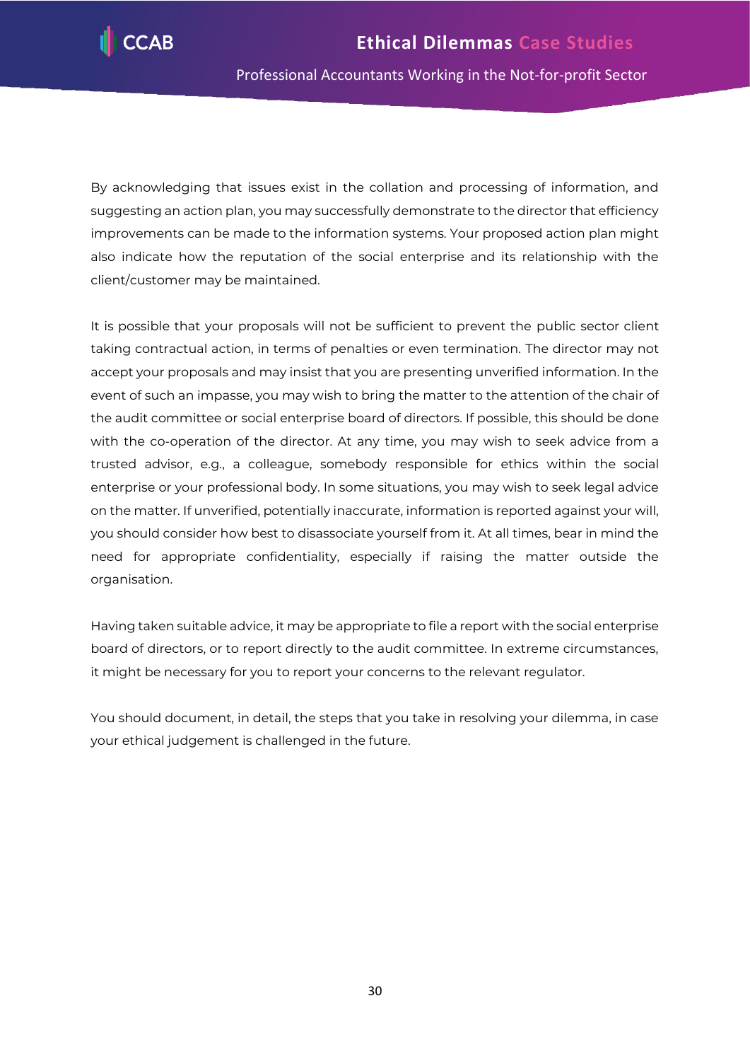

By acknowledging that issues exist in the collation and processing of information, and suggesting an action plan, you may successfully demonstrate to the director that efficiency improvements can be made to the information systems. Your proposed action plan might also indicate how the reputation of the social enterprise and its relationship with the client/customer may be maintained.

It is possible that your proposals will not be sufficient to prevent the public sector client taking contractual action, in terms of penalties or even termination. The director may not accept your proposals and may insist that you are presenting unverified information. In the event of such an impasse, you may wish to bring the matter to the attention of the chair of the audit committee or social enterprise board of directors. If possible, this should be done with the co-operation of the director. At any time, you may wish to seek advice from a trusted advisor, e.g., a colleague, somebody responsible for ethics within the social enterprise or your professional body. In some situations, you may wish to seek legal advice on the matter. If unverified, potentially inaccurate, information is reported against your will, you should consider how best to disassociate yourself from it. At all times, bear in mind the need for appropriate confidentiality, especially if raising the matter outside the organisation.

Having taken suitable advice, it may be appropriate to file a report with the social enterprise board of directors, or to report directly to the audit committee. In extreme circumstances, it might be necessary for you to report your concerns to the relevant regulator.

You should document, in detail, the steps that you take in resolving your dilemma, in case your ethical judgement is challenged in the future.